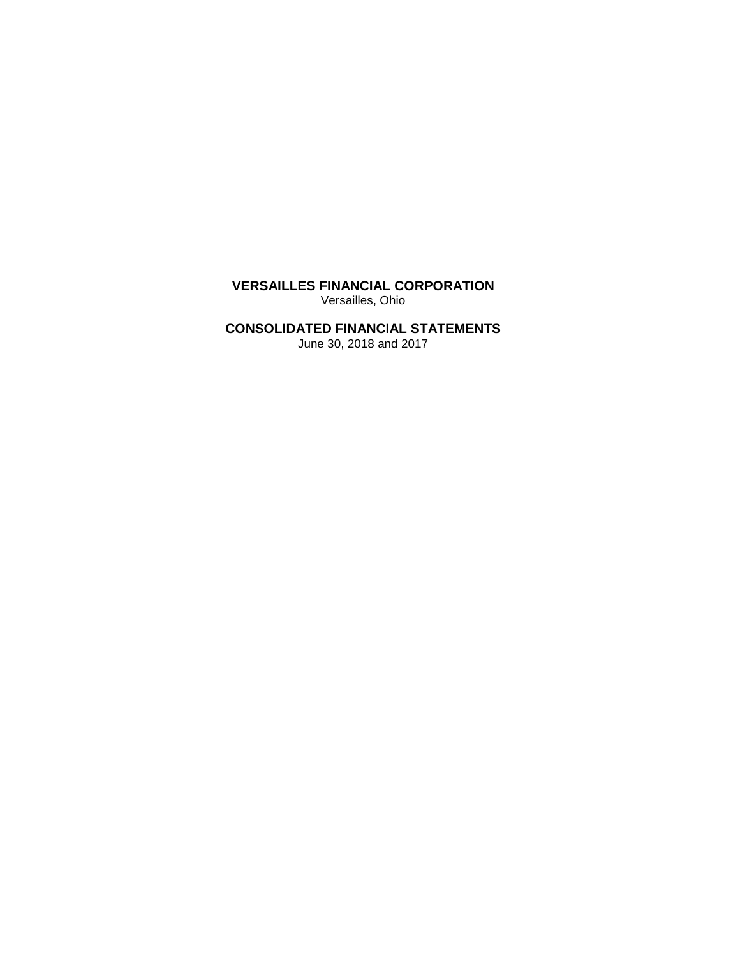**VERSAILLES FINANCIAL CORPORATION** Versailles, Ohio

# **CONSOLIDATED FINANCIAL STATEMENTS**

June 30, 2018 and 2017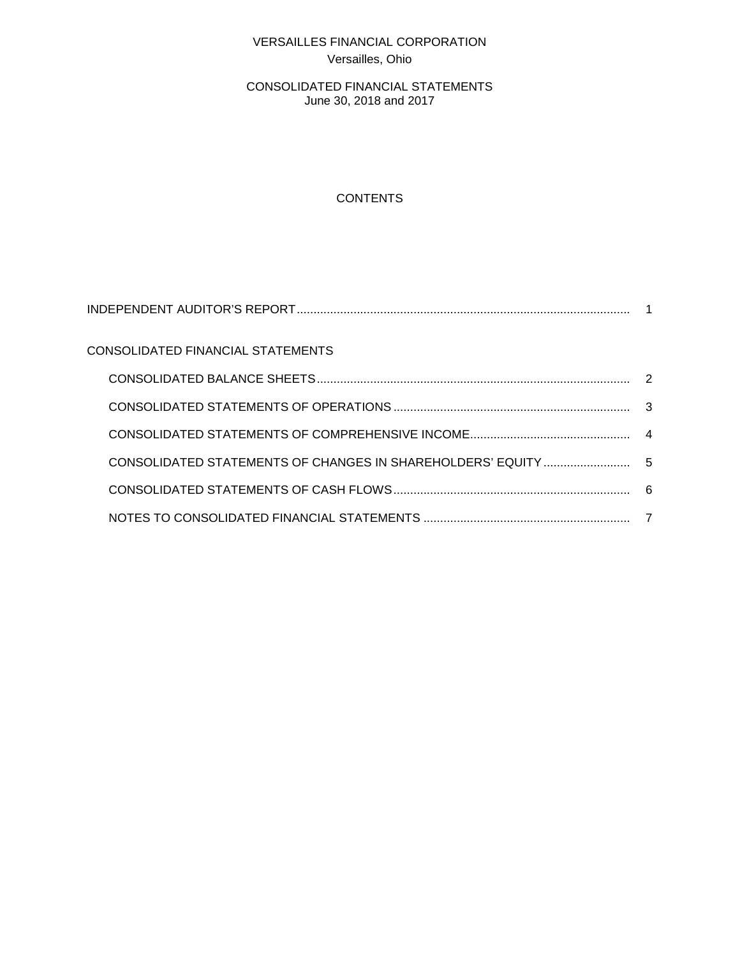# VERSAILLES FINANCIAL CORPORATION Versailles, Ohio

CONSOLIDATED FINANCIAL STATEMENTS June 30, 2018 and 2017

# **CONTENTS**

| CONSOLIDATED FINANCIAL STATEMENTS |   |
|-----------------------------------|---|
|                                   |   |
|                                   |   |
|                                   |   |
|                                   |   |
|                                   |   |
|                                   | 7 |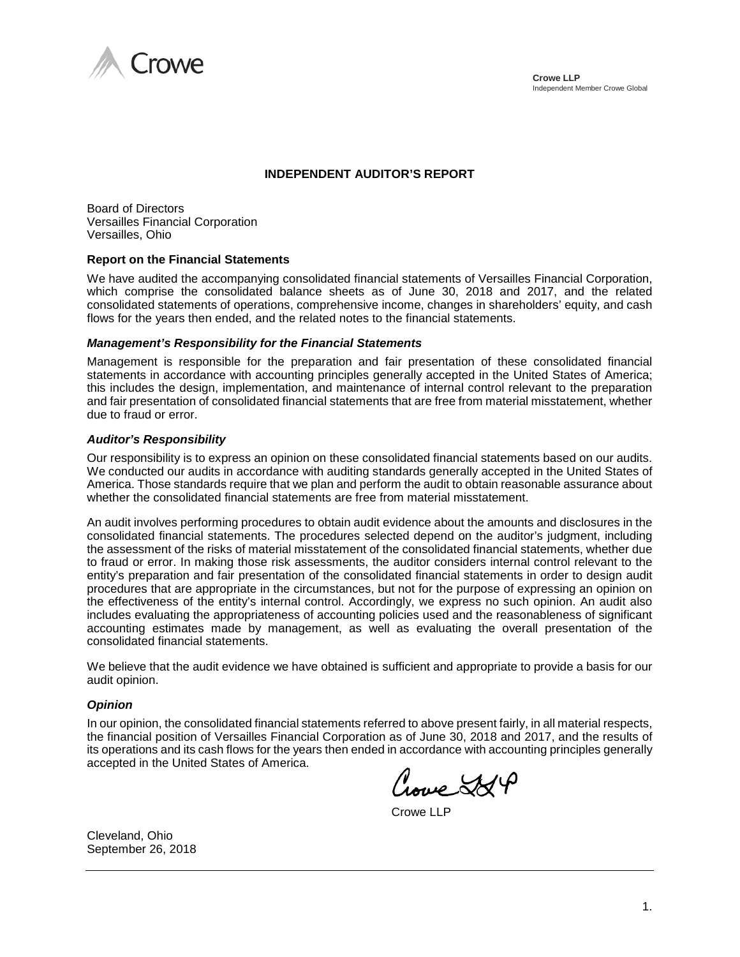

### **INDEPENDENT AUDITOR'S REPORT**

Board of Directors Versailles Financial Corporation Versailles, Ohio

#### **Report on the Financial Statements**

We have audited the accompanying consolidated financial statements of Versailles Financial Corporation, which comprise the consolidated balance sheets as of June 30, 2018 and 2017, and the related consolidated statements of operations, comprehensive income, changes in shareholders' equity, and cash flows for the years then ended, and the related notes to the financial statements.

#### *Management's Responsibility for the Financial Statements*

Management is responsible for the preparation and fair presentation of these consolidated financial statements in accordance with accounting principles generally accepted in the United States of America; this includes the design, implementation, and maintenance of internal control relevant to the preparation and fair presentation of consolidated financial statements that are free from material misstatement, whether due to fraud or error.

#### *Auditor's Responsibility*

Our responsibility is to express an opinion on these consolidated financial statements based on our audits. We conducted our audits in accordance with auditing standards generally accepted in the United States of America. Those standards require that we plan and perform the audit to obtain reasonable assurance about whether the consolidated financial statements are free from material misstatement.

An audit involves performing procedures to obtain audit evidence about the amounts and disclosures in the consolidated financial statements. The procedures selected depend on the auditor's judgment, including the assessment of the risks of material misstatement of the consolidated financial statements, whether due to fraud or error. In making those risk assessments, the auditor considers internal control relevant to the entity's preparation and fair presentation of the consolidated financial statements in order to design audit procedures that are appropriate in the circumstances, but not for the purpose of expressing an opinion on the effectiveness of the entity's internal control. Accordingly, we express no such opinion. An audit also includes evaluating the appropriateness of accounting policies used and the reasonableness of significant accounting estimates made by management, as well as evaluating the overall presentation of the consolidated financial statements.

We believe that the audit evidence we have obtained is sufficient and appropriate to provide a basis for our audit opinion.

#### *Opinion*

In our opinion, the consolidated financial statements referred to above present fairly, in all material respects, the financial position of Versailles Financial Corporation as of June 30, 2018 and 2017, and the results of its operations and its cash flows for the years then ended in accordance with accounting principles generally accepted in the United States of America.

weed St

Crowe LLP

Cleveland, Ohio September 26, 2018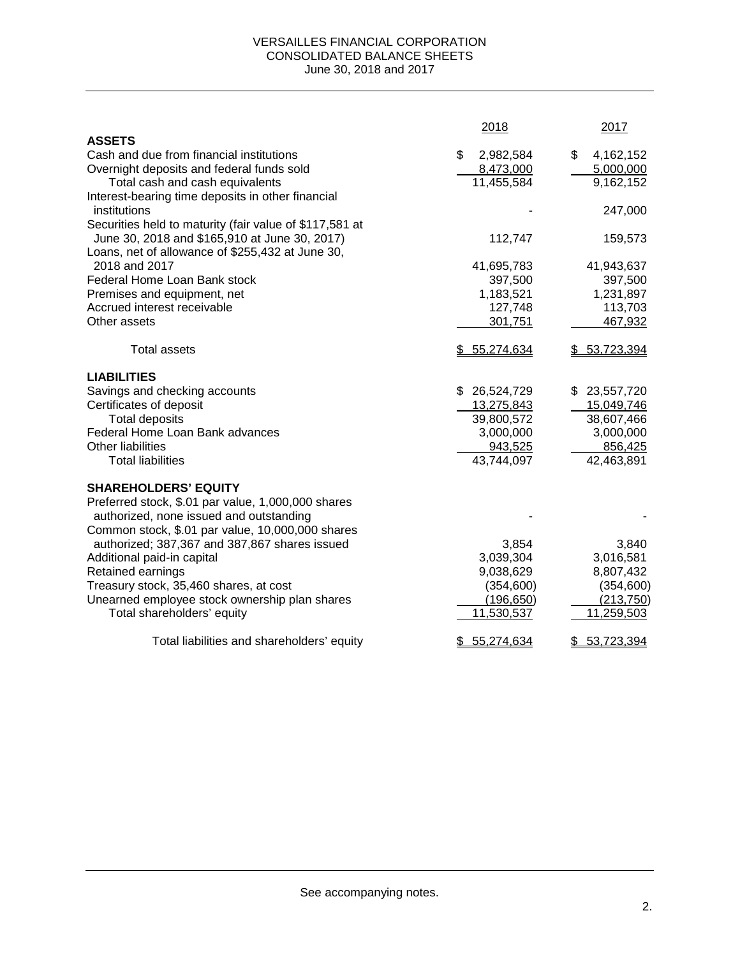#### VERSAILLES FINANCIAL CORPORATION CONSOLIDATED BALANCE SHEETS June 30, 2018 and 2017

|                                                         | 2018             | 2017             |
|---------------------------------------------------------|------------------|------------------|
| <b>ASSETS</b>                                           |                  |                  |
| Cash and due from financial institutions                | \$<br>2,982,584  | \$<br>4,162,152  |
| Overnight deposits and federal funds sold               | 8,473,000        | 5,000,000        |
| Total cash and cash equivalents                         | 11,455,584       | 9,162,152        |
| Interest-bearing time deposits in other financial       |                  |                  |
| institutions                                            |                  | 247,000          |
| Securities held to maturity (fair value of \$117,581 at |                  |                  |
| June 30, 2018 and \$165,910 at June 30, 2017)           | 112,747          | 159,573          |
| Loans, net of allowance of \$255,432 at June 30,        |                  |                  |
| 2018 and 2017                                           | 41,695,783       | 41,943,637       |
| Federal Home Loan Bank stock                            | 397,500          | 397,500          |
| Premises and equipment, net                             | 1,183,521        | 1,231,897        |
| Accrued interest receivable                             | 127,748          | 113,703          |
| Other assets                                            | 301,751          | 467,932          |
| <b>Total assets</b>                                     | \$5,274,634      | \$53,723,394     |
| <b>LIABILITIES</b>                                      |                  |                  |
| Savings and checking accounts                           | \$26,524,729     | \$23,557,720     |
| Certificates of deposit                                 | 13,275,843       | 15,049,746       |
| <b>Total deposits</b>                                   | 39,800,572       | 38,607,466       |
| Federal Home Loan Bank advances                         | 3,000,000        | 3,000,000        |
| Other liabilities                                       | 943,525          | 856,425          |
| <b>Total liabilities</b>                                | 43,744,097       | 42,463,891       |
| <b>SHAREHOLDERS' EQUITY</b>                             |                  |                  |
| Preferred stock, \$.01 par value, 1,000,000 shares      |                  |                  |
| authorized, none issued and outstanding                 |                  |                  |
| Common stock, \$.01 par value, 10,000,000 shares        |                  |                  |
| authorized; 387,367 and 387,867 shares issued           | 3,854            | 3,840            |
| Additional paid-in capital                              | 3,039,304        | 3,016,581        |
| Retained earnings                                       | 9,038,629        | 8,807,432        |
| Treasury stock, 35,460 shares, at cost                  | (354, 600)       | (354, 600)       |
| Unearned employee stock ownership plan shares           | (196, 650)       | (213, 750)       |
| Total shareholders' equity                              | 11,530,537       | 11,259,503       |
| Total liabilities and shareholders' equity              | 55,274,634<br>\$ | 53,723,394<br>\$ |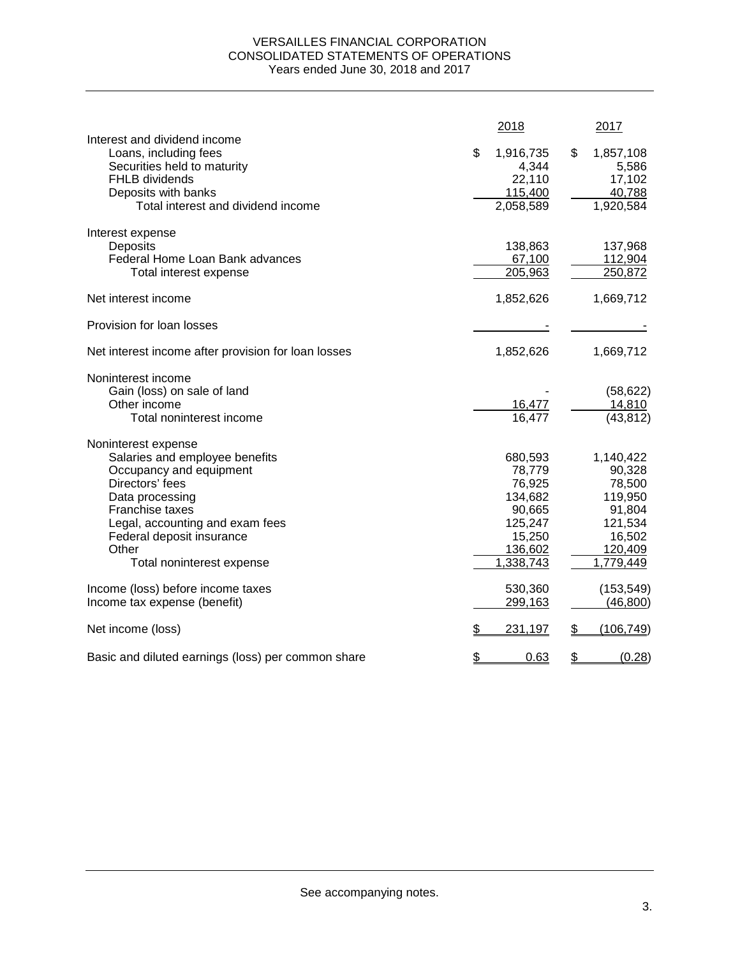# VERSAILLES FINANCIAL CORPORATION CONSOLIDATED STATEMENTS OF OPERATIONS Years ended June 30, 2018 and 2017

|                                                                                                                                                                                                                                                 |    | 2018                                                                                          | 2017                                                                                            |
|-------------------------------------------------------------------------------------------------------------------------------------------------------------------------------------------------------------------------------------------------|----|-----------------------------------------------------------------------------------------------|-------------------------------------------------------------------------------------------------|
| Interest and dividend income<br>Loans, including fees<br>Securities held to maturity<br>FHLB dividends<br>Deposits with banks<br>Total interest and dividend income                                                                             | \$ | 1,916,735<br>4,344<br>22,110<br>115,400<br>2,058,589                                          | \$<br>1,857,108<br>5,586<br>17,102<br>40,788<br>1,920,584                                       |
| Interest expense<br>Deposits<br>Federal Home Loan Bank advances<br>Total interest expense                                                                                                                                                       |    | 138,863<br>67,100<br>205,963                                                                  | 137,968<br>112,904<br>250,872                                                                   |
| Net interest income                                                                                                                                                                                                                             |    | 1,852,626                                                                                     | 1,669,712                                                                                       |
| Provision for loan losses                                                                                                                                                                                                                       |    |                                                                                               |                                                                                                 |
| Net interest income after provision for loan losses                                                                                                                                                                                             |    | 1,852,626                                                                                     | 1,669,712                                                                                       |
| Noninterest income<br>Gain (loss) on sale of land<br>Other income<br>Total noninterest income                                                                                                                                                   |    | 16,477<br>16,477                                                                              | (58, 622)<br>14,810<br>(43, 812)                                                                |
| Noninterest expense<br>Salaries and employee benefits<br>Occupancy and equipment<br>Directors' fees<br>Data processing<br>Franchise taxes<br>Legal, accounting and exam fees<br>Federal deposit insurance<br>Other<br>Total noninterest expense |    | 680,593<br>78,779<br>76,925<br>134,682<br>90,665<br>125,247<br>15,250<br>136,602<br>1,338,743 | 1,140,422<br>90,328<br>78,500<br>119,950<br>91,804<br>121,534<br>16,502<br>120,409<br>1,779,449 |
| Income (loss) before income taxes<br>Income tax expense (benefit)                                                                                                                                                                               |    | 530,360<br>299,163                                                                            | (153, 549)<br>(46, 800)                                                                         |
| Net income (loss)                                                                                                                                                                                                                               | æ. | 231,197                                                                                       | \$<br>(106, 749)                                                                                |
| Basic and diluted earnings (loss) per common share                                                                                                                                                                                              | \$ | 0.63                                                                                          | \$<br>(0.28)                                                                                    |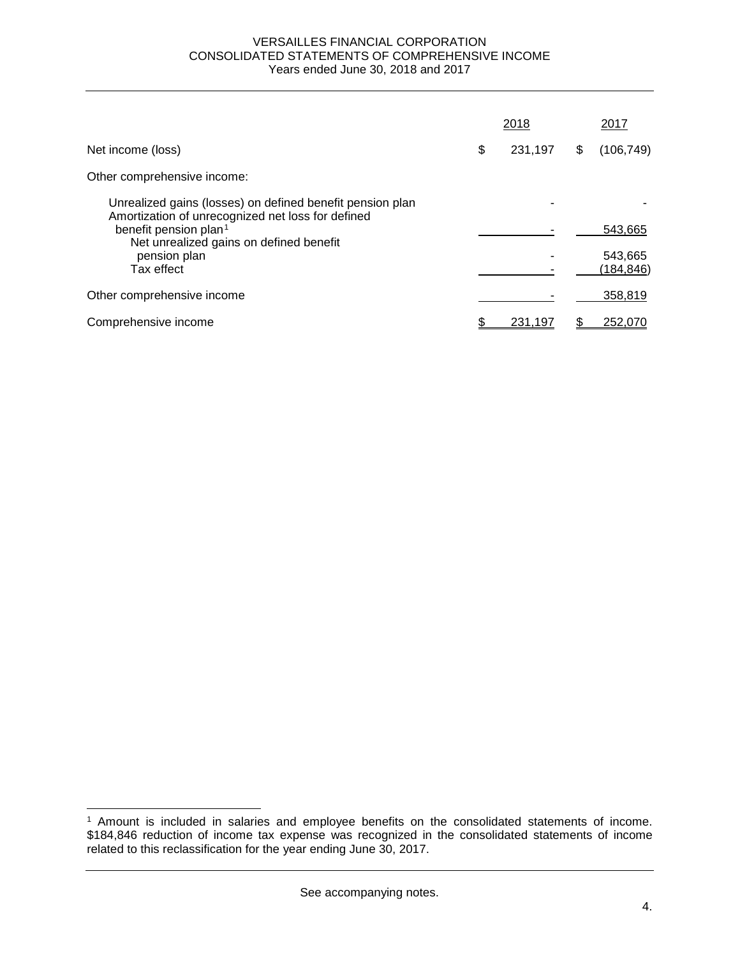#### VERSAILLES FINANCIAL CORPORATION CONSOLIDATED STATEMENTS OF COMPREHENSIVE INCOME Years ended June 30, 2018 and 2017

|                                                                                                                | 2018          | 2017             |
|----------------------------------------------------------------------------------------------------------------|---------------|------------------|
| Net income (loss)                                                                                              | \$<br>231,197 | \$<br>(106, 749) |
| Other comprehensive income:                                                                                    |               |                  |
| Unrealized gains (losses) on defined benefit pension plan<br>Amortization of unrecognized net loss for defined |               |                  |
| benefit pension plan <sup>1</sup><br>Net unrealized gains on defined benefit                                   |               | 543,665          |
| pension plan                                                                                                   |               | 543,665          |
| Tax effect                                                                                                     |               | (184, 846)       |
| Other comprehensive income                                                                                     |               | 358,819          |
| Comprehensive income                                                                                           | 231.197       | 252.070          |

 $\overline{a}$ 

<span id="page-6-0"></span><sup>1</sup> Amount is included in salaries and employee benefits on the consolidated statements of income. \$184,846 reduction of income tax expense was recognized in the consolidated statements of income related to this reclassification for the year ending June 30, 2017.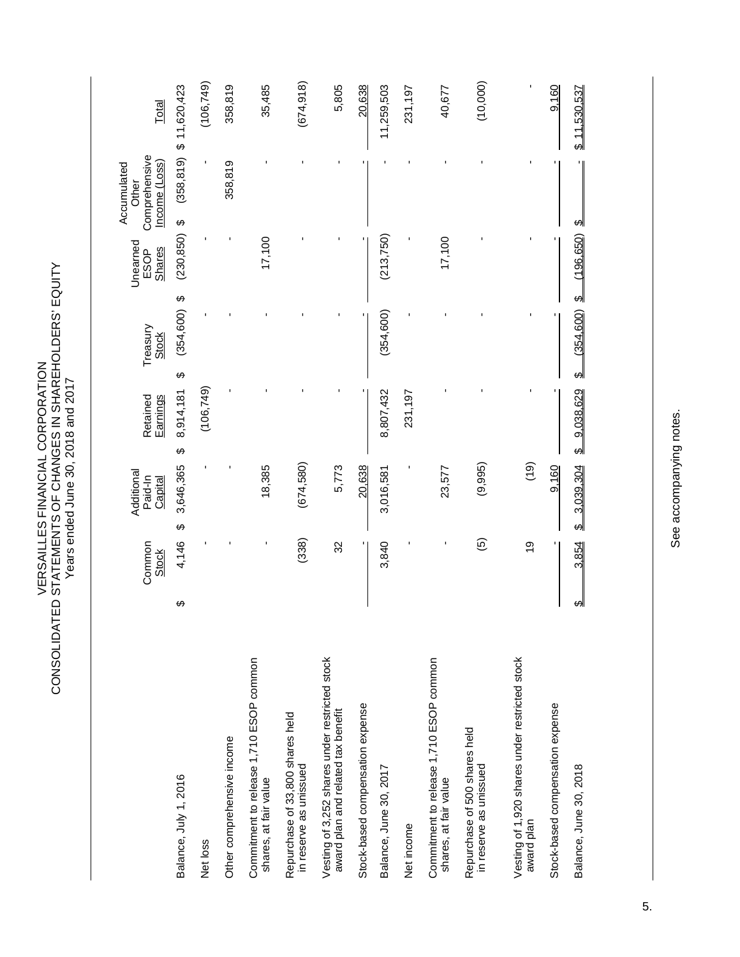VERSAILLES FINANCIAL CORPORATION<br>CONSOLIDATED STATEMENTS OF CHANGES IN SHAREHOLDERS' EQUITY<br>Years ended June 30, 2018 and 2017 CONSOLIDATED STATEMENTS OF CHANGES IN SHAREHOLDERS' EQUITY VERSAILLES FINANCIAL CORPORATION Years ended June 30, 2018 and 2017

|                                                                                      |   | Common<br><b>Stock</b>   | Additional<br>Paid-In<br>Capital | Earnings<br>Retained   |   | Treasury<br><b>Stock</b> | Unearned<br><b>Shares</b><br>ESOP | Comprehensive<br>Income (Loss)<br>Accumulated<br>Other | Total                      |
|--------------------------------------------------------------------------------------|---|--------------------------|----------------------------------|------------------------|---|--------------------------|-----------------------------------|--------------------------------------------------------|----------------------------|
| Balance, July 1, 2016                                                                | ↔ | 4,146                    | 3,646,365<br>$\varphi$           | 8,914,181<br>$\varphi$ | ↔ | $(354,600)$ \$           | $(230, 850)$ \$                   |                                                        | $(358, 819)$ \$ 11,620,423 |
| Net loss                                                                             |   |                          |                                  | (106, 749)             |   |                          |                                   |                                                        | (106, 749)                 |
| Other comprehensive income                                                           |   |                          |                                  |                        |   |                          |                                   | 358,819                                                | 358,819                    |
| Commitment to release 1,710 ESOP common<br>shares, at fair value                     |   |                          | 18,385                           |                        |   |                          | 17,100                            |                                                        | 35,485                     |
| Repurchase of 33,800 shares held<br>in reserve as unissued                           |   | (338)                    | (674,580)                        |                        |   |                          |                                   |                                                        | (674, 918)                 |
| Vesting of 3,252 shares under restricted stock<br>award plan and related tax benefit |   | 32                       | 5,773                            |                        |   |                          |                                   |                                                        | 5,805                      |
| Stock-based compensation expense                                                     |   |                          | 20,638                           |                        |   |                          |                                   |                                                        | 20,638                     |
| Balance, June 30, 2017                                                               |   | 3,840                    | 3,016,581                        | 8,807,432              |   | (354, 600)               | (213, 750)                        |                                                        | 11,259,503                 |
| Net income                                                                           |   |                          |                                  | 231,197                |   |                          |                                   |                                                        | 231,197                    |
| Commitment to release 1,710 ESOP common<br>shares, at fair value                     |   |                          | 23,577                           |                        |   |                          | 17,100                            |                                                        | 40,677                     |
| Repurchase of 500 shares held<br>in reserve as unissued                              |   | $\widehat{\mathfrak{G}}$ | (9,995)                          |                        |   |                          |                                   |                                                        | (10,000)                   |
| Vesting of 1,920 shares under restricted stock<br>award plan                         |   | $\frac{0}{1}$            | (61)                             |                        |   |                          |                                   |                                                        |                            |
| Stock-based compensation expense                                                     |   |                          | 9,160                            |                        |   |                          | ٠                                 |                                                        | 9,160                      |
| Balance, June 30, 2018                                                               | ↔ | 3,854                    | \$3,039,304                      | \$9,038,629            |   | \$600, \$600             | $$$ (196,650)                     | ക                                                      | \$11,530,537               |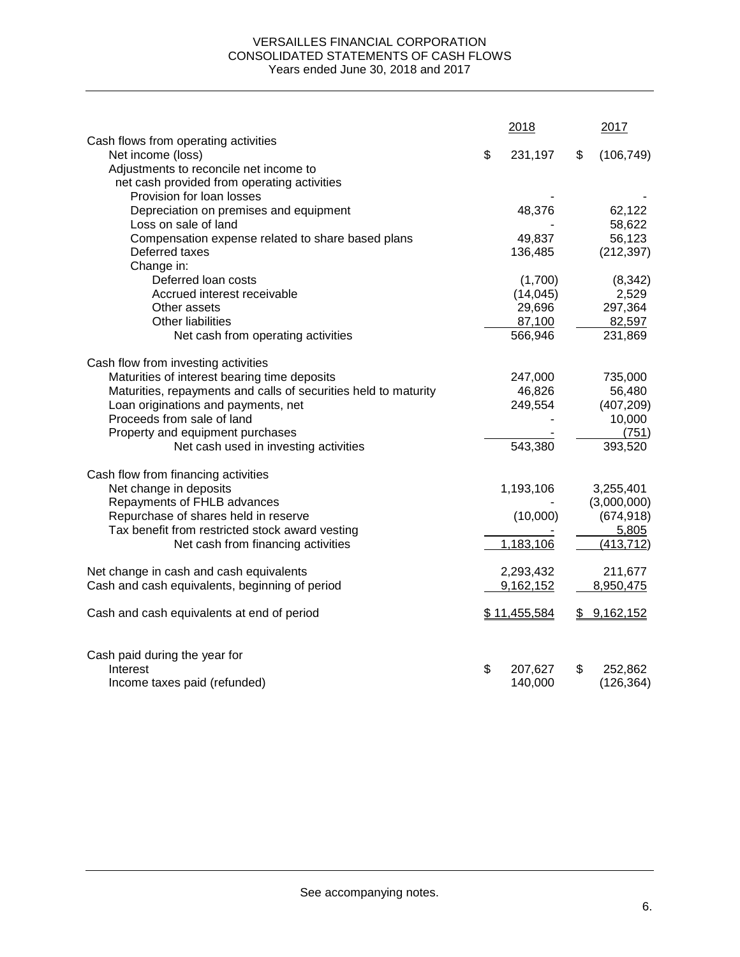# VERSAILLES FINANCIAL CORPORATION CONSOLIDATED STATEMENTS OF CASH FLOWS Years ended June 30, 2018 and 2017

|                                                                 | 2018          | 2017             |
|-----------------------------------------------------------------|---------------|------------------|
| Cash flows from operating activities<br>Net income (loss)       | \$<br>231,197 | \$<br>(106, 749) |
| Adjustments to reconcile net income to                          |               |                  |
| net cash provided from operating activities                     |               |                  |
| Provision for loan losses                                       |               |                  |
| Depreciation on premises and equipment                          | 48,376        | 62,122           |
| Loss on sale of land                                            |               | 58,622           |
| Compensation expense related to share based plans               | 49,837        | 56,123           |
| Deferred taxes                                                  | 136,485       | (212, 397)       |
| Change in:                                                      |               |                  |
| Deferred loan costs                                             | (1,700)       | (8, 342)         |
| Accrued interest receivable                                     | (14, 045)     | 2,529            |
| Other assets                                                    | 29,696        | 297,364          |
| Other liabilities                                               | 87,100        | 82,597           |
| Net cash from operating activities                              | 566,946       | 231,869          |
|                                                                 |               |                  |
| Cash flow from investing activities                             |               |                  |
| Maturities of interest bearing time deposits                    | 247,000       | 735,000          |
| Maturities, repayments and calls of securities held to maturity | 46,826        | 56,480           |
| Loan originations and payments, net                             | 249,554       | (407, 209)       |
| Proceeds from sale of land                                      |               | 10,000           |
| Property and equipment purchases                                |               | (751)            |
| Net cash used in investing activities                           | 543,380       | 393,520          |
|                                                                 |               |                  |
| Cash flow from financing activities                             |               |                  |
| Net change in deposits                                          | 1,193,106     | 3,255,401        |
| Repayments of FHLB advances                                     |               | (3,000,000)      |
| Repurchase of shares held in reserve                            | (10,000)      | (674, 918)       |
| Tax benefit from restricted stock award vesting                 |               | 5,805            |
| Net cash from financing activities                              | 1,183,106     | (413, 712)       |
|                                                                 |               |                  |
| Net change in cash and cash equivalents                         | 2,293,432     | 211,677          |
| Cash and cash equivalents, beginning of period                  | 9,162,152     | 8,950,475        |
|                                                                 |               |                  |
| Cash and cash equivalents at end of period                      | \$11,455,584  | \$9,162,152      |
|                                                                 |               |                  |
|                                                                 |               |                  |
| Cash paid during the year for                                   |               |                  |
| Interest                                                        | \$<br>207,627 | \$<br>252,862    |
| Income taxes paid (refunded)                                    | 140,000       | (126, 364)       |
|                                                                 |               |                  |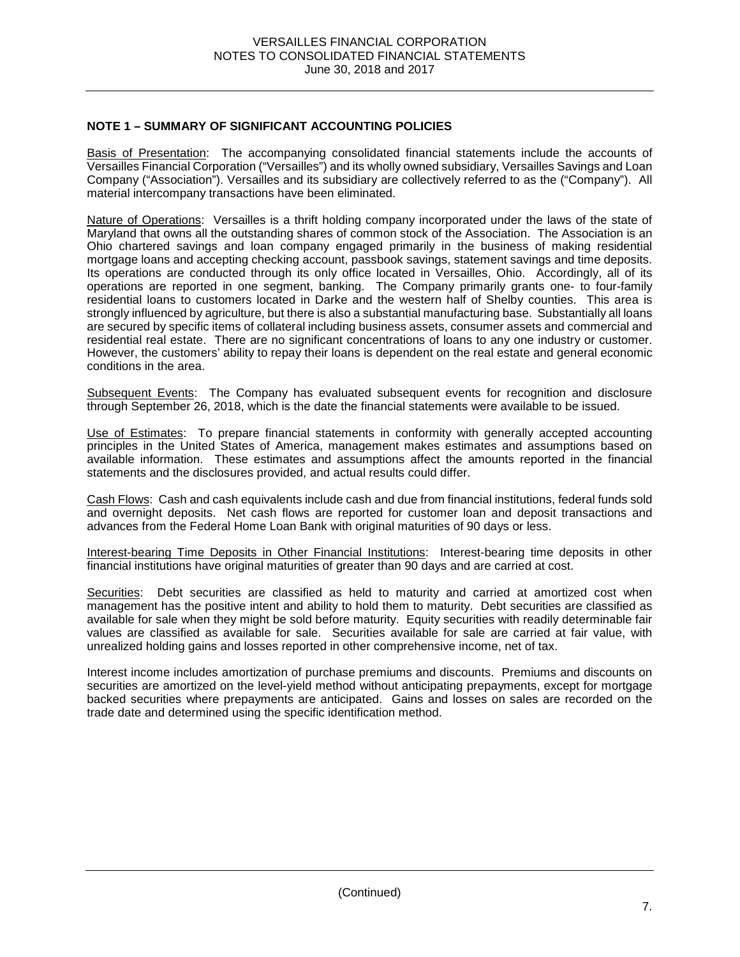# **NOTE 1 – SUMMARY OF SIGNIFICANT ACCOUNTING POLICIES**

Basis of Presentation: The accompanying consolidated financial statements include the accounts of Versailles Financial Corporation ("Versailles") and its wholly owned subsidiary, Versailles Savings and Loan Company ("Association"). Versailles and its subsidiary are collectively referred to as the ("Company"). All material intercompany transactions have been eliminated.

Nature of Operations: Versailles is a thrift holding company incorporated under the laws of the state of Maryland that owns all the outstanding shares of common stock of the Association. The Association is an Ohio chartered savings and loan company engaged primarily in the business of making residential mortgage loans and accepting checking account, passbook savings, statement savings and time deposits. Its operations are conducted through its only office located in Versailles, Ohio. Accordingly, all of its operations are reported in one segment, banking. The Company primarily grants one- to four-family residential loans to customers located in Darke and the western half of Shelby counties. This area is strongly influenced by agriculture, but there is also a substantial manufacturing base. Substantially all loans are secured by specific items of collateral including business assets, consumer assets and commercial and residential real estate. There are no significant concentrations of loans to any one industry or customer. However, the customers' ability to repay their loans is dependent on the real estate and general economic conditions in the area.

Subsequent Events: The Company has evaluated subsequent events for recognition and disclosure through September 26, 2018, which is the date the financial statements were available to be issued.

Use of Estimates: To prepare financial statements in conformity with generally accepted accounting principles in the United States of America, management makes estimates and assumptions based on available information. These estimates and assumptions affect the amounts reported in the financial statements and the disclosures provided, and actual results could differ.

Cash Flows: Cash and cash equivalents include cash and due from financial institutions, federal funds sold and overnight deposits. Net cash flows are reported for customer loan and deposit transactions and advances from the Federal Home Loan Bank with original maturities of 90 days or less.

Interest-bearing Time Deposits in Other Financial Institutions: Interest-bearing time deposits in other financial institutions have original maturities of greater than 90 days and are carried at cost.

Securities: Debt securities are classified as held to maturity and carried at amortized cost when management has the positive intent and ability to hold them to maturity. Debt securities are classified as available for sale when they might be sold before maturity. Equity securities with readily determinable fair values are classified as available for sale. Securities available for sale are carried at fair value, with unrealized holding gains and losses reported in other comprehensive income, net of tax.

Interest income includes amortization of purchase premiums and discounts. Premiums and discounts on securities are amortized on the level-yield method without anticipating prepayments, except for mortgage backed securities where prepayments are anticipated. Gains and losses on sales are recorded on the trade date and determined using the specific identification method.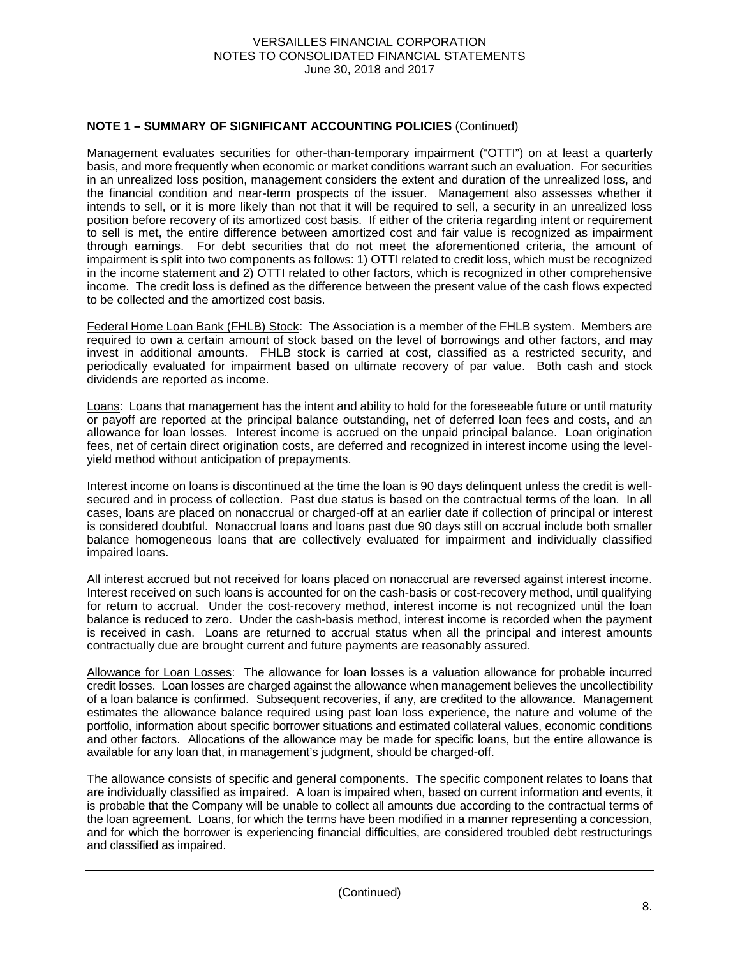Management evaluates securities for other-than-temporary impairment ("OTTI") on at least a quarterly basis, and more frequently when economic or market conditions warrant such an evaluation. For securities in an unrealized loss position, management considers the extent and duration of the unrealized loss, and the financial condition and near-term prospects of the issuer. Management also assesses whether it intends to sell, or it is more likely than not that it will be required to sell, a security in an unrealized loss position before recovery of its amortized cost basis. If either of the criteria regarding intent or requirement to sell is met, the entire difference between amortized cost and fair value is recognized as impairment through earnings. For debt securities that do not meet the aforementioned criteria, the amount of impairment is split into two components as follows: 1) OTTI related to credit loss, which must be recognized in the income statement and 2) OTTI related to other factors, which is recognized in other comprehensive income. The credit loss is defined as the difference between the present value of the cash flows expected to be collected and the amortized cost basis.

Federal Home Loan Bank (FHLB) Stock: The Association is a member of the FHLB system. Members are required to own a certain amount of stock based on the level of borrowings and other factors, and may invest in additional amounts. FHLB stock is carried at cost, classified as a restricted security, and periodically evaluated for impairment based on ultimate recovery of par value. Both cash and stock dividends are reported as income.

Loans: Loans that management has the intent and ability to hold for the foreseeable future or until maturity or payoff are reported at the principal balance outstanding, net of deferred loan fees and costs, and an allowance for loan losses. Interest income is accrued on the unpaid principal balance. Loan origination fees, net of certain direct origination costs, are deferred and recognized in interest income using the levelyield method without anticipation of prepayments.

Interest income on loans is discontinued at the time the loan is 90 days delinquent unless the credit is wellsecured and in process of collection. Past due status is based on the contractual terms of the loan. In all cases, loans are placed on nonaccrual or charged-off at an earlier date if collection of principal or interest is considered doubtful. Nonaccrual loans and loans past due 90 days still on accrual include both smaller balance homogeneous loans that are collectively evaluated for impairment and individually classified impaired loans.

All interest accrued but not received for loans placed on nonaccrual are reversed against interest income. Interest received on such loans is accounted for on the cash-basis or cost-recovery method, until qualifying for return to accrual. Under the cost-recovery method, interest income is not recognized until the loan balance is reduced to zero. Under the cash-basis method, interest income is recorded when the payment is received in cash. Loans are returned to accrual status when all the principal and interest amounts contractually due are brought current and future payments are reasonably assured.

Allowance for Loan Losses: The allowance for loan losses is a valuation allowance for probable incurred credit losses. Loan losses are charged against the allowance when management believes the uncollectibility of a loan balance is confirmed. Subsequent recoveries, if any, are credited to the allowance. Management estimates the allowance balance required using past loan loss experience, the nature and volume of the portfolio, information about specific borrower situations and estimated collateral values, economic conditions and other factors. Allocations of the allowance may be made for specific loans, but the entire allowance is available for any loan that, in management's judgment, should be charged-off.

The allowance consists of specific and general components. The specific component relates to loans that are individually classified as impaired. A loan is impaired when, based on current information and events, it is probable that the Company will be unable to collect all amounts due according to the contractual terms of the loan agreement. Loans, for which the terms have been modified in a manner representing a concession, and for which the borrower is experiencing financial difficulties, are considered troubled debt restructurings and classified as impaired.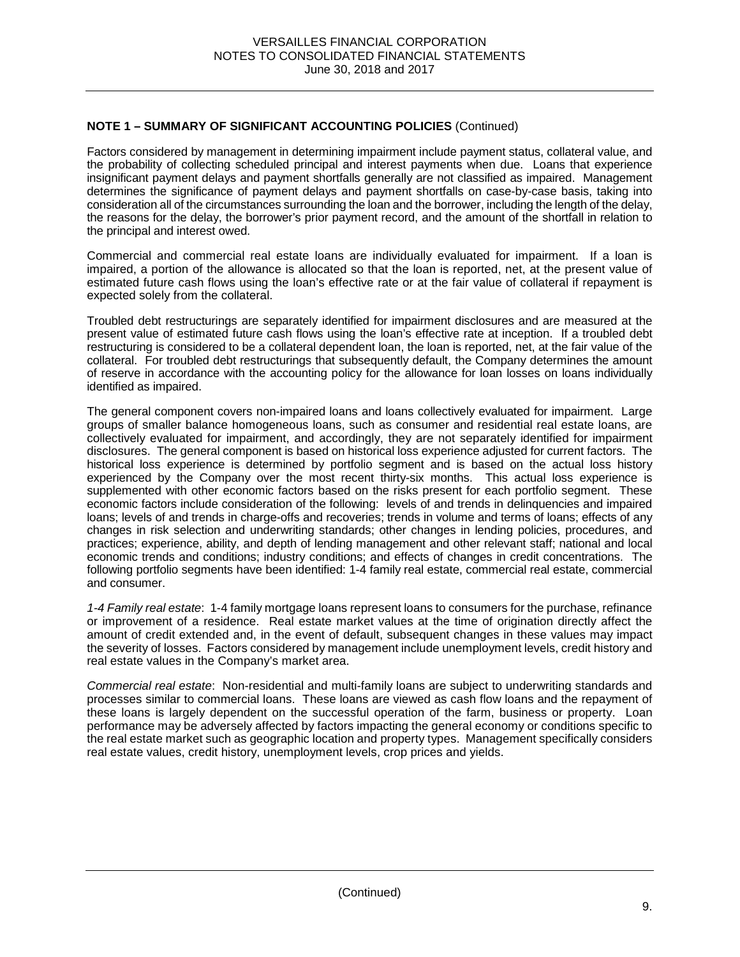Factors considered by management in determining impairment include payment status, collateral value, and the probability of collecting scheduled principal and interest payments when due. Loans that experience insignificant payment delays and payment shortfalls generally are not classified as impaired. Management determines the significance of payment delays and payment shortfalls on case-by-case basis, taking into consideration all of the circumstances surrounding the loan and the borrower, including the length of the delay, the reasons for the delay, the borrower's prior payment record, and the amount of the shortfall in relation to the principal and interest owed.

Commercial and commercial real estate loans are individually evaluated for impairment. If a loan is impaired, a portion of the allowance is allocated so that the loan is reported, net, at the present value of estimated future cash flows using the loan's effective rate or at the fair value of collateral if repayment is expected solely from the collateral.

Troubled debt restructurings are separately identified for impairment disclosures and are measured at the present value of estimated future cash flows using the loan's effective rate at inception. If a troubled debt restructuring is considered to be a collateral dependent loan, the loan is reported, net, at the fair value of the collateral. For troubled debt restructurings that subsequently default, the Company determines the amount of reserve in accordance with the accounting policy for the allowance for loan losses on loans individually identified as impaired.

The general component covers non-impaired loans and loans collectively evaluated for impairment. Large groups of smaller balance homogeneous loans, such as consumer and residential real estate loans, are collectively evaluated for impairment, and accordingly, they are not separately identified for impairment disclosures. The general component is based on historical loss experience adjusted for current factors. The historical loss experience is determined by portfolio segment and is based on the actual loss history experienced by the Company over the most recent thirty-six months. This actual loss experience is supplemented with other economic factors based on the risks present for each portfolio segment. These economic factors include consideration of the following: levels of and trends in delinquencies and impaired loans; levels of and trends in charge-offs and recoveries; trends in volume and terms of loans; effects of any changes in risk selection and underwriting standards; other changes in lending policies, procedures, and practices; experience, ability, and depth of lending management and other relevant staff; national and local economic trends and conditions; industry conditions; and effects of changes in credit concentrations. The following portfolio segments have been identified: 1-4 family real estate, commercial real estate, commercial and consumer.

*1-4 Family real estate*:1-4 family mortgage loans represent loans to consumers for the purchase, refinance or improvement of a residence. Real estate market values at the time of origination directly affect the amount of credit extended and, in the event of default, subsequent changes in these values may impact the severity of losses. Factors considered by management include unemployment levels, credit history and real estate values in the Company's market area.

*Commercial real estate*:Non-residential and multi-family loans are subject to underwriting standards and processes similar to commercial loans. These loans are viewed as cash flow loans and the repayment of these loans is largely dependent on the successful operation of the farm, business or property. Loan performance may be adversely affected by factors impacting the general economy or conditions specific to the real estate market such as geographic location and property types. Management specifically considers real estate values, credit history, unemployment levels, crop prices and yields.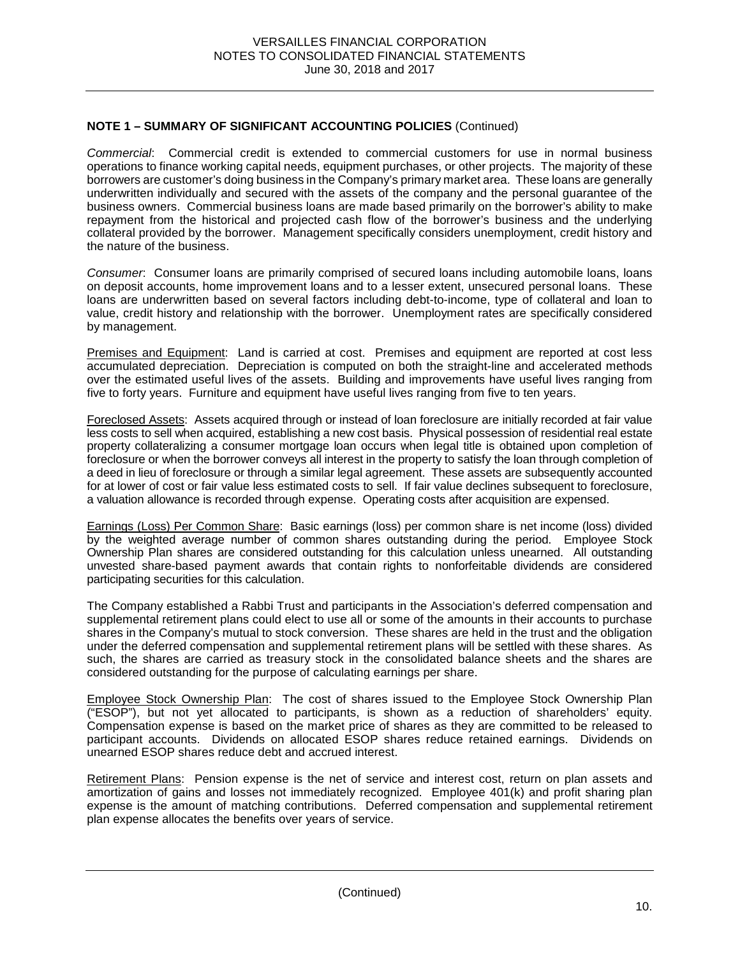*Commercial*: Commercial credit is extended to commercial customers for use in normal business operations to finance working capital needs, equipment purchases, or other projects. The majority of these borrowers are customer's doing business in the Company's primary market area. These loans are generally underwritten individually and secured with the assets of the company and the personal guarantee of the business owners. Commercial business loans are made based primarily on the borrower's ability to make repayment from the historical and projected cash flow of the borrower's business and the underlying collateral provided by the borrower. Management specifically considers unemployment, credit history and the nature of the business.

*Consumer*: Consumer loans are primarily comprised of secured loans including automobile loans, loans on deposit accounts, home improvement loans and to a lesser extent, unsecured personal loans. These loans are underwritten based on several factors including debt-to-income, type of collateral and loan to value, credit history and relationship with the borrower. Unemployment rates are specifically considered by management.

Premises and Equipment: Land is carried at cost. Premises and equipment are reported at cost less accumulated depreciation. Depreciation is computed on both the straight-line and accelerated methods over the estimated useful lives of the assets. Building and improvements have useful lives ranging from five to forty years. Furniture and equipment have useful lives ranging from five to ten years.

Foreclosed Assets: Assets acquired through or instead of loan foreclosure are initially recorded at fair value less costs to sell when acquired, establishing a new cost basis. Physical possession of residential real estate property collateralizing a consumer mortgage loan occurs when legal title is obtained upon completion of foreclosure or when the borrower conveys all interest in the property to satisfy the loan through completion of a deed in lieu of foreclosure or through a similar legal agreement. These assets are subsequently accounted for at lower of cost or fair value less estimated costs to sell. If fair value declines subsequent to foreclosure, a valuation allowance is recorded through expense. Operating costs after acquisition are expensed.

Earnings (Loss) Per Common Share: Basic earnings (loss) per common share is net income (loss) divided by the weighted average number of common shares outstanding during the period. Employee Stock Ownership Plan shares are considered outstanding for this calculation unless unearned. All outstanding unvested share-based payment awards that contain rights to nonforfeitable dividends are considered participating securities for this calculation.

The Company established a Rabbi Trust and participants in the Association's deferred compensation and supplemental retirement plans could elect to use all or some of the amounts in their accounts to purchase shares in the Company's mutual to stock conversion. These shares are held in the trust and the obligation under the deferred compensation and supplemental retirement plans will be settled with these shares. As such, the shares are carried as treasury stock in the consolidated balance sheets and the shares are considered outstanding for the purpose of calculating earnings per share.

Employee Stock Ownership Plan: The cost of shares issued to the Employee Stock Ownership Plan ("ESOP"), but not yet allocated to participants, is shown as a reduction of shareholders' equity. Compensation expense is based on the market price of shares as they are committed to be released to participant accounts. Dividends on allocated ESOP shares reduce retained earnings. Dividends on unearned ESOP shares reduce debt and accrued interest.

Retirement Plans: Pension expense is the net of service and interest cost, return on plan assets and amortization of gains and losses not immediately recognized. Employee 401(k) and profit sharing plan expense is the amount of matching contributions. Deferred compensation and supplemental retirement plan expense allocates the benefits over years of service.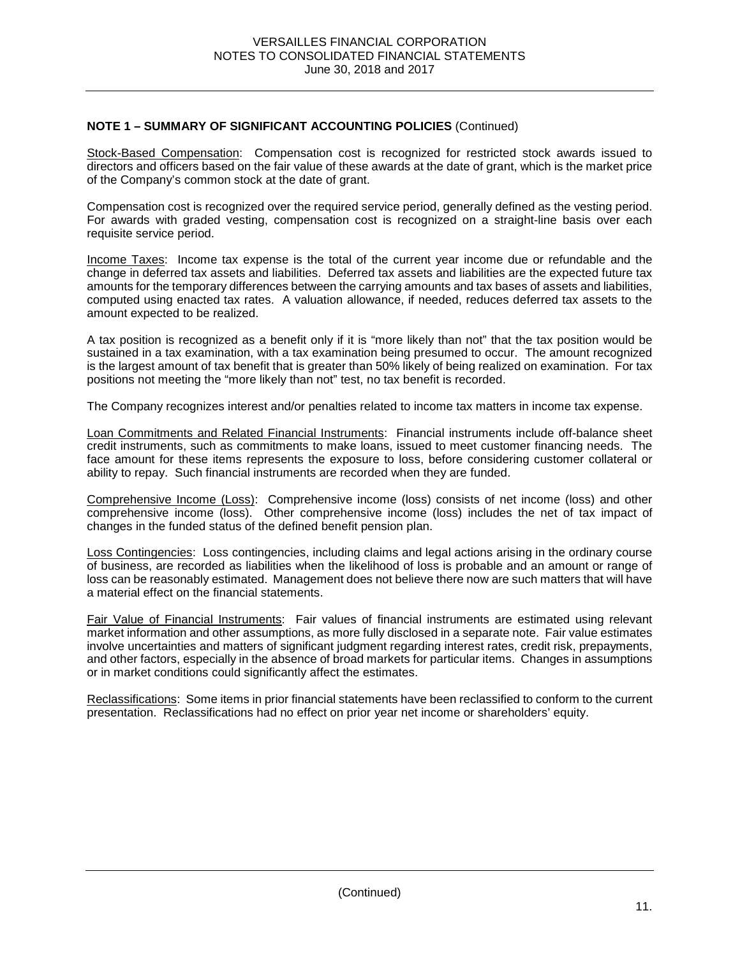Stock-Based Compensation: Compensation cost is recognized for restricted stock awards issued to directors and officers based on the fair value of these awards at the date of grant, which is the market price of the Company's common stock at the date of grant.

Compensation cost is recognized over the required service period, generally defined as the vesting period. For awards with graded vesting, compensation cost is recognized on a straight-line basis over each requisite service period.

Income Taxes: Income tax expense is the total of the current year income due or refundable and the change in deferred tax assets and liabilities. Deferred tax assets and liabilities are the expected future tax amounts for the temporary differences between the carrying amounts and tax bases of assets and liabilities, computed using enacted tax rates. A valuation allowance, if needed, reduces deferred tax assets to the amount expected to be realized.

A tax position is recognized as a benefit only if it is "more likely than not" that the tax position would be sustained in a tax examination, with a tax examination being presumed to occur. The amount recognized is the largest amount of tax benefit that is greater than 50% likely of being realized on examination. For tax positions not meeting the "more likely than not" test, no tax benefit is recorded.

The Company recognizes interest and/or penalties related to income tax matters in income tax expense.

Loan Commitments and Related Financial Instruments: Financial instruments include off-balance sheet credit instruments, such as commitments to make loans, issued to meet customer financing needs. The face amount for these items represents the exposure to loss, before considering customer collateral or ability to repay. Such financial instruments are recorded when they are funded.

Comprehensive Income (Loss): Comprehensive income (loss) consists of net income (loss) and other comprehensive income (loss). Other comprehensive income (loss) includes the net of tax impact of changes in the funded status of the defined benefit pension plan.

Loss Contingencies: Loss contingencies, including claims and legal actions arising in the ordinary course of business, are recorded as liabilities when the likelihood of loss is probable and an amount or range of loss can be reasonably estimated. Management does not believe there now are such matters that will have a material effect on the financial statements.

Fair Value of Financial Instruments: Fair values of financial instruments are estimated using relevant market information and other assumptions, as more fully disclosed in a separate note. Fair value estimates involve uncertainties and matters of significant judgment regarding interest rates, credit risk, prepayments, and other factors, especially in the absence of broad markets for particular items. Changes in assumptions or in market conditions could significantly affect the estimates.

Reclassifications: Some items in prior financial statements have been reclassified to conform to the current presentation. Reclassifications had no effect on prior year net income or shareholders' equity.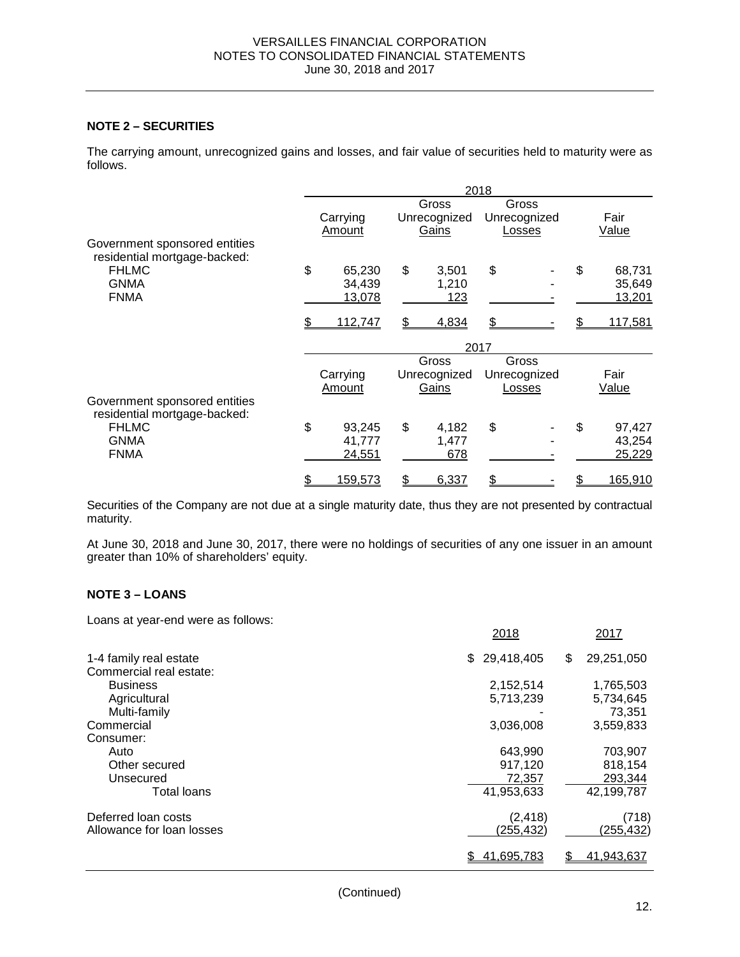# **NOTE 2 – SECURITIES**

The carrying amount, unrecognized gains and losses, and fair value of securities held to maturity were as follows.

|                                                               | 2018 |                |      |              |    |              |    |                |  |
|---------------------------------------------------------------|------|----------------|------|--------------|----|--------------|----|----------------|--|
|                                                               |      |                |      | Gross        |    | Gross        |    |                |  |
|                                                               |      | Carrying       |      | Unrecognized |    | Unrecognized |    | Fair           |  |
|                                                               |      | Amount         |      | Gains        |    | Losses       |    | <b>Value</b>   |  |
| Government sponsored entities<br>residential mortgage-backed: |      |                |      |              |    |              |    |                |  |
| <b>FHLMC</b>                                                  | \$   | 65,230         | \$   | 3,501        | \$ |              | \$ | 68,731         |  |
| <b>GNMA</b>                                                   |      | 34,439         |      | 1,210        |    |              |    | 35,649         |  |
| <b>FNMA</b>                                                   |      | 13,078         |      | 123          |    |              |    | 13,201         |  |
|                                                               |      | 112,747        | \$   | 4,834        |    |              |    | <u>117,581</u> |  |
|                                                               |      |                | 2017 |              |    |              |    |                |  |
|                                                               |      |                |      | Gross        |    | Gross        |    |                |  |
|                                                               |      | Carrying       |      | Unrecognized |    | Unrecognized |    | Fair           |  |
|                                                               |      | Amount         |      | Gains        |    | Losses       |    | Value          |  |
| Government sponsored entities<br>residential mortgage-backed: |      |                |      |              |    |              |    |                |  |
| <b>FHLMC</b>                                                  | \$   | 93,245         | \$   | 4,182        | \$ |              | \$ | 97,427         |  |
| <b>GNMA</b>                                                   |      | 41,777         |      | 1,477        |    |              |    | 43,254         |  |
| <b>FNMA</b>                                                   |      | 24,551         |      | 678          |    |              |    | 25,229         |  |
|                                                               |      | <u>159,573</u> | \$   | 6,337        | \$ |              |    | <u>165,910</u> |  |

Securities of the Company are not due at a single maturity date, thus they are not presented by contractual maturity.

At June 30, 2018 and June 30, 2017, there were no holdings of securities of any one issuer in an amount greater than 10% of shareholders' equity.

# **NOTE 3 – LOANS**

Loans at year-end were as follows:

|                           | 2018             | 2017             |
|---------------------------|------------------|------------------|
| 1-4 family real estate    | 29,418,405<br>\$ | \$<br>29,251,050 |
| Commercial real estate:   |                  |                  |
| <b>Business</b>           | 2,152,514        | 1,765,503        |
| Agricultural              | 5,713,239        | 5,734,645        |
| Multi-family              |                  | 73,351           |
| Commercial                | 3,036,008        | 3,559,833        |
| Consumer:                 |                  |                  |
| Auto                      | 643,990          | 703,907          |
| Other secured             | 917,120          | 818,154          |
| Unsecured                 | 72,357           | 293,344          |
| Total loans               | 41,953,633       | 42,199,787       |
| Deferred loan costs       | (2, 418)         | (718)            |
| Allowance for loan losses | <u>(255,432)</u> | (255, 432)       |
|                           | 41,695,783       | 41,943,637       |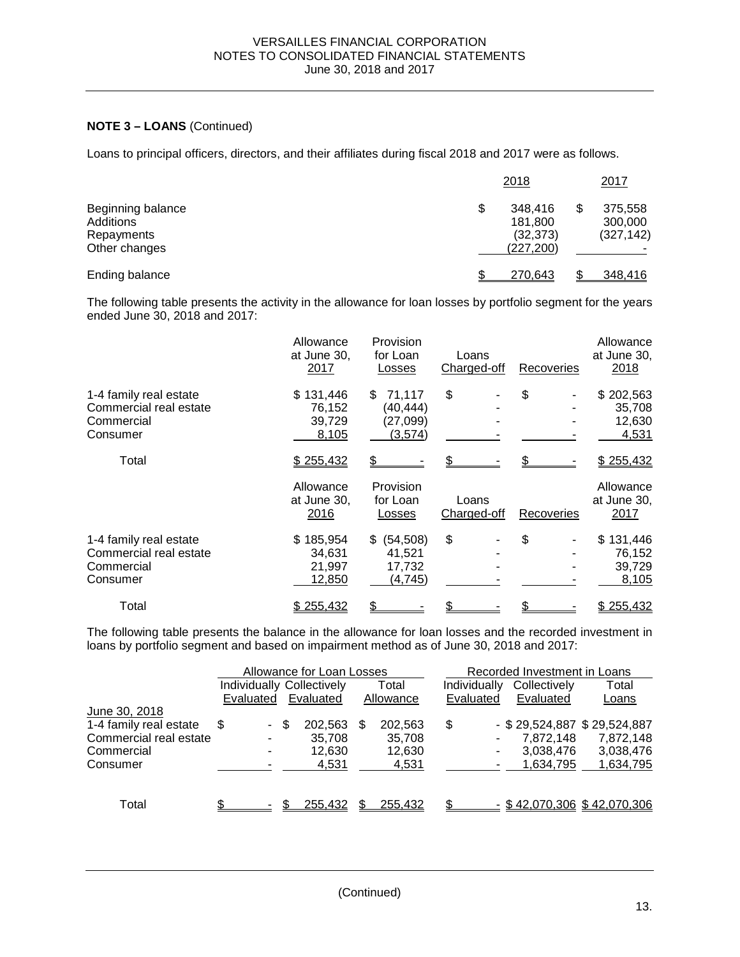# **NOTE 3 – LOANS** (Continued)

Loans to principal officers, directors, and their affiliates during fiscal 2018 and 2017 were as follows.

|                                                               | 2018                                                | <u> 2017</u>                     |
|---------------------------------------------------------------|-----------------------------------------------------|----------------------------------|
| Beginning balance<br>Additions<br>Repayments<br>Other changes | \$<br>348.416<br>181,800<br>(32, 373)<br>(227, 200) | 375,558<br>300,000<br>(327, 142) |
| Ending balance                                                | 270.643                                             | 348,416                          |

The following table presents the activity in the allowance for loan losses by portfolio segment for the years ended June 30, 2018 and 2017:

|                                                                            | Allowance<br>at June 30,<br>2017        | Provision<br>for Loan<br>Losses                   | Loans<br>Charged-off | Recoveries | Allowance<br>at June 30,<br>2018       |
|----------------------------------------------------------------------------|-----------------------------------------|---------------------------------------------------|----------------------|------------|----------------------------------------|
| 1-4 family real estate<br>Commercial real estate<br>Commercial<br>Consumer | \$131,446<br>76,152<br>39,729<br>8,105  | 71,117<br>\$.<br>(40, 444)<br>(27,099)<br>(3,574) | \$                   | \$         | \$202,563<br>35,708<br>12,630<br>4,531 |
| Total                                                                      | \$255,432                               |                                                   |                      |            | \$255,432                              |
|                                                                            | Allowance<br>at June 30,<br>2016        | Provision<br>for Loan<br>Losses                   | Loans<br>Charged-off | Recoveries | Allowance<br>at June 30,<br>2017       |
| 1-4 family real estate<br>Commercial real estate<br>Commercial<br>Consumer | \$185,954<br>34,631<br>21,997<br>12,850 | \$ (54,508)<br>41,521<br>17,732<br>(4,745)        | \$                   | \$         | \$131,446<br>76,152<br>39,729<br>8,105 |
| Total                                                                      | \$255,432                               |                                                   |                      |            | \$255,432                              |

The following table presents the balance in the allowance for loan losses and the recorded investment in loans by portfolio segment and based on impairment method as of June 30, 2018 and 2017:

|                        |                                  |      | Allowance for Loan Losses |     |           |              |   | Recorded Investment in Loans |                               |
|------------------------|----------------------------------|------|---------------------------|-----|-----------|--------------|---|------------------------------|-------------------------------|
|                        | <b>Individually Collectively</b> |      |                           |     | Total     | Individually |   | Collectively                 | Total                         |
|                        | Evaluated                        |      | Evaluated                 |     | Allowance | Evaluated    |   | Evaluated                    | Loans                         |
| June 30, 2018          |                                  |      |                           |     |           |              |   |                              |                               |
| 1-4 family real estate | S                                | - \$ | 202,563                   | \$. | 202,563   | \$           |   |                              | - \$29,524,887 \$29,524,887   |
| Commercial real estate | ٠                                |      | 35,708                    |     | 35,708    |              |   | 7,872,148                    | 7,872,148                     |
| Commercial             | ۰                                |      | 12.630                    |     | 12,630    |              | ۰ | 3,038,476                    | 3,038,476                     |
| Consumer               |                                  |      | 4,531                     |     | 4,531     |              |   | 1.634.795                    | 1,634,795                     |
|                        |                                  |      |                           |     |           |              |   |                              |                               |
| Total                  |                                  |      | 255,432                   |     | 255,432   |              |   |                              | $-$ \$42,070,306 \$42,070,306 |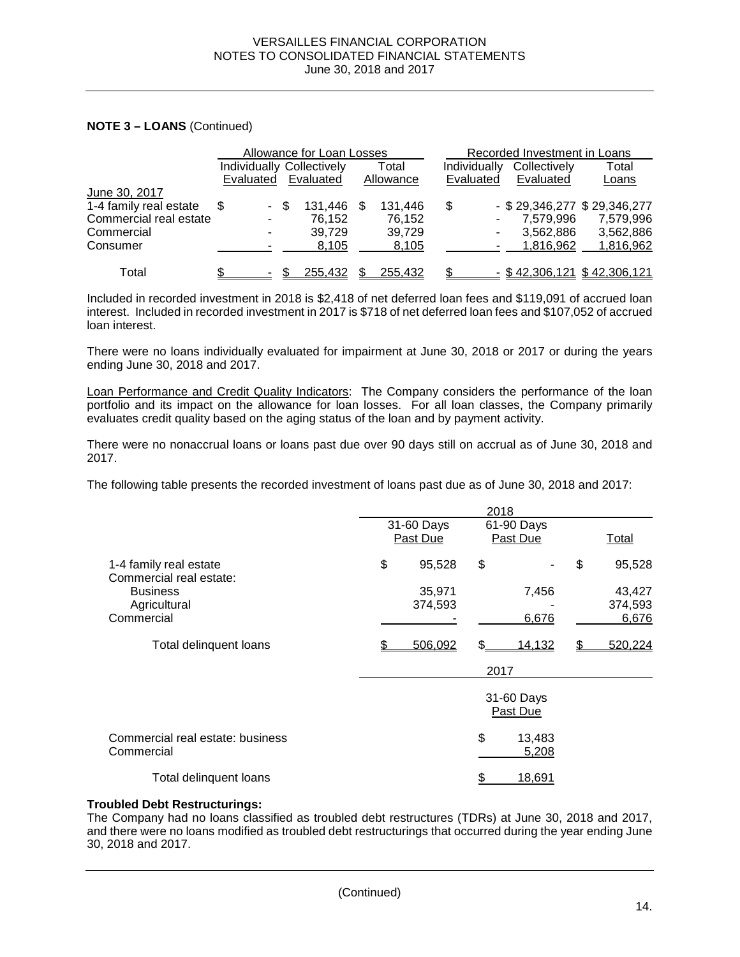# **NOTE 3 – LOANS** (Continued)

|                        |           |      | Allowance for Loan Losses |      |           |              | Recorded Investment in Loans |                                 |
|------------------------|-----------|------|---------------------------|------|-----------|--------------|------------------------------|---------------------------------|
|                        |           |      | Individually Collectively |      | Total     | Individually | Collectively                 | Total                           |
|                        | Evaluated |      | Evaluated                 |      | Allowance | Evaluated    | Evaluated                    | Loans                           |
| June 30, 2017          |           |      |                           |      |           |              |                              |                                 |
| 1-4 family real estate | \$.       | - \$ | 131,446                   | - \$ | 131.446   | \$           |                              | $-$ \$ 29,346,277 \$ 29,346,277 |
| Commercial real estate | ٠         |      | 76.152                    |      | 76,152    |              | 7.579.996                    | 7.579.996                       |
| Commercial             | ۰         |      | 39,729                    |      | 39,729    |              | 3,562,886                    | 3,562,886                       |
| Consumer               |           |      | 8,105                     |      | 8,105     |              | 1,816,962                    | 1,816,962                       |
| Total                  |           |      | 255,432                   |      | 255.432   |              |                              | $-$ \$42,306,121 \$42,306,121   |

Included in recorded investment in 2018 is \$2,418 of net deferred loan fees and \$119,091 of accrued loan interest. Included in recorded investment in 2017 is \$718 of net deferred loan fees and \$107,052 of accrued loan interest.

There were no loans individually evaluated for impairment at June 30, 2018 or 2017 or during the years ending June 30, 2018 and 2017.

Loan Performance and Credit Quality Indicators: The Company considers the performance of the loan portfolio and its impact on the allowance for loan losses. For all loan classes, the Company primarily evaluates credit quality based on the aging status of the loan and by payment activity.

There were no nonaccrual loans or loans past due over 90 days still on accrual as of June 30, 2018 and 2017.

The following table presents the recorded investment of loans past due as of June 30, 2018 and 2017:

|                                                   |                        | 2018 |                        |    |                  |
|---------------------------------------------------|------------------------|------|------------------------|----|------------------|
|                                                   | 31-60 Days<br>Past Due |      | 61-90 Days<br>Past Due |    | <u>Total</u>     |
| 1-4 family real estate<br>Commercial real estate: | \$<br>95,528           | \$   |                        | \$ | 95,528           |
| <b>Business</b>                                   | 35,971                 |      | 7,456                  |    | 43,427           |
| Agricultural<br>Commercial                        | 374,593                |      | 6,676                  |    | 374,593<br>6,676 |
|                                                   |                        |      |                        |    |                  |
| Total delinquent loans                            | 506,092                | \$.  | 14,132                 | S  | 520,224          |
|                                                   |                        | 2017 |                        |    |                  |
|                                                   |                        |      | 31-60 Days<br>Past Due |    |                  |
| Commercial real estate: business<br>Commercial    |                        | \$   | 13,483<br>5,208        |    |                  |
| Total delinguent loans                            |                        |      | <u>18,691</u>          |    |                  |

#### **Troubled Debt Restructurings:**

The Company had no loans classified as troubled debt restructures (TDRs) at June 30, 2018 and 2017, and there were no loans modified as troubled debt restructurings that occurred during the year ending June 30, 2018 and 2017.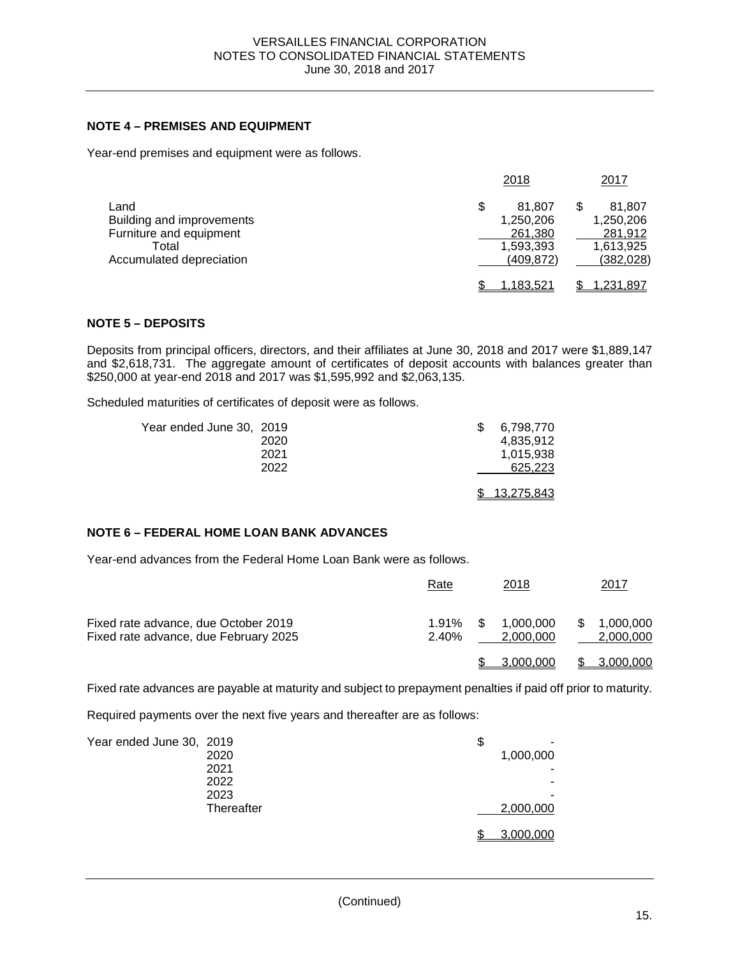# **NOTE 4 – PREMISES AND EQUIPMENT**

Year-end premises and equipment were as follows.

|                                                                                                   | 2018                                                            | 2017                                                      |
|---------------------------------------------------------------------------------------------------|-----------------------------------------------------------------|-----------------------------------------------------------|
| Land<br>Building and improvements<br>Furniture and equipment<br>Total<br>Accumulated depreciation | \$<br>81.807<br>1,250,206<br>261,380<br>1,593,393<br>(409, 872) | 81,807<br>1,250,206<br>281,912<br>1,613,925<br>(382, 028) |
|                                                                                                   | 1.183.521                                                       | 1,231,897                                                 |

# **NOTE 5 – DEPOSITS**

Deposits from principal officers, directors, and their affiliates at June 30, 2018 and 2017 were \$1,889,147 and \$2,618,731. The aggregate amount of certificates of deposit accounts with balances greater than \$250,000 at year-end 2018 and 2017 was \$1,595,992 and \$2,063,135.

Scheduled maturities of certificates of deposit were as follows.

| Year ended June 30, 2019 | 2020<br>2021 | 6,798,770<br>4.835.912<br>1.015.938 |
|--------------------------|--------------|-------------------------------------|
|                          | 2022         | 625,223                             |
|                          |              | \$ 13,275,843                       |

# **NOTE 6 – FEDERAL HOME LOAN BANK ADVANCES**

Year-end advances from the Federal Home Loan Bank were as follows.

|                                                                               | Rate              |   | 2018                   |     | <u> 2017 </u>          |
|-------------------------------------------------------------------------------|-------------------|---|------------------------|-----|------------------------|
| Fixed rate advance, due October 2019<br>Fixed rate advance, due February 2025 | $1.91\%$<br>2.40% | S | 1.000.000<br>2.000.000 | \$. | 1,000,000<br>2,000,000 |
|                                                                               |                   |   | 3.000.000              |     | 3,000,000              |

Fixed rate advances are payable at maturity and subject to prepayment penalties if paid off prior to maturity.

Required payments over the next five years and thereafter are as follows:

| Year ended June 30, 2019 |            | \$        |
|--------------------------|------------|-----------|
|                          | 2020       | 1,000,000 |
|                          | 2021       |           |
|                          | 2022       |           |
|                          | 2023       | -         |
|                          | Thereafter | 2,000,000 |
|                          |            | 3,000,000 |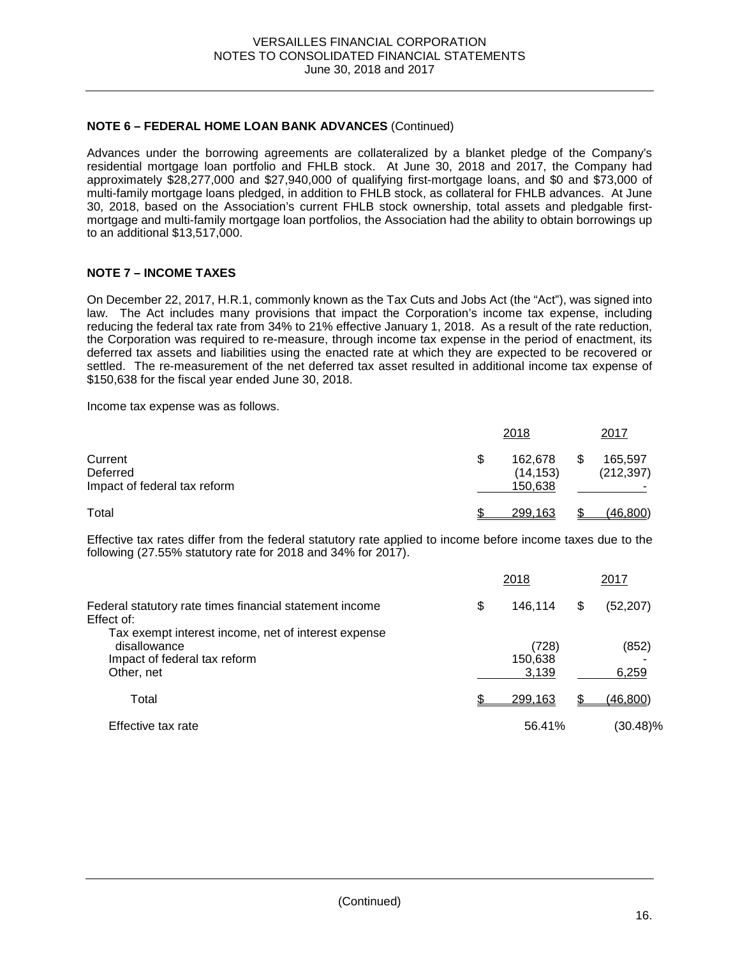# **NOTE 6 – FEDERAL HOME LOAN BANK ADVANCES** (Continued)

Advances under the borrowing agreements are collateralized by a blanket pledge of the Company's residential mortgage loan portfolio and FHLB stock. At June 30, 2018 and 2017, the Company had approximately \$28,277,000 and \$27,940,000 of qualifying first-mortgage loans, and \$0 and \$73,000 of multi-family mortgage loans pledged, in addition to FHLB stock, as collateral for FHLB advances. At June 30, 2018, based on the Association's current FHLB stock ownership, total assets and pledgable firstmortgage and multi-family mortgage loan portfolios, the Association had the ability to obtain borrowings up to an additional \$13,517,000.

# **NOTE 7 – INCOME TAXES**

On December 22, 2017, H.R.1, commonly known as the Tax Cuts and Jobs Act (the "Act"), was signed into law. The Act includes many provisions that impact the Corporation's income tax expense, including reducing the federal tax rate from 34% to 21% effective January 1, 2018. As a result of the rate reduction, the Corporation was required to re-measure, through income tax expense in the period of enactment, its deferred tax assets and liabilities using the enacted rate at which they are expected to be recovered or settled. The re-measurement of the net deferred tax asset resulted in additional income tax expense of \$150,638 for the fiscal year ended June 30, 2018.

Income tax expense was as follows.

|                                                     | 2018                                  | 2017                  |
|-----------------------------------------------------|---------------------------------------|-----------------------|
| Current<br>Deferred<br>Impact of federal tax reform | \$<br>162,678<br>(14, 153)<br>150,638 | 165,597<br>(212, 397) |
| Total                                               | 299.163                               | (46, 800)             |

Effective tax rates differ from the federal statutory rate applied to income before income taxes due to the following (27.55% statutory rate for 2018 and 34% for 2017).

|                                                                                                                   | 2018                      | 2017           |  |
|-------------------------------------------------------------------------------------------------------------------|---------------------------|----------------|--|
| Federal statutory rate times financial statement income<br>Effect of:                                             | \$<br>146,114             | \$<br>(52,207) |  |
| Tax exempt interest income, net of interest expense<br>disallowance<br>Impact of federal tax reform<br>Other, net | (728)<br>150,638<br>3,139 | (852)<br>6,259 |  |
| Total                                                                                                             | 299,163                   | \$<br>(46,800) |  |
| Effective tax rate                                                                                                | 56.41%                    | (30.48)%       |  |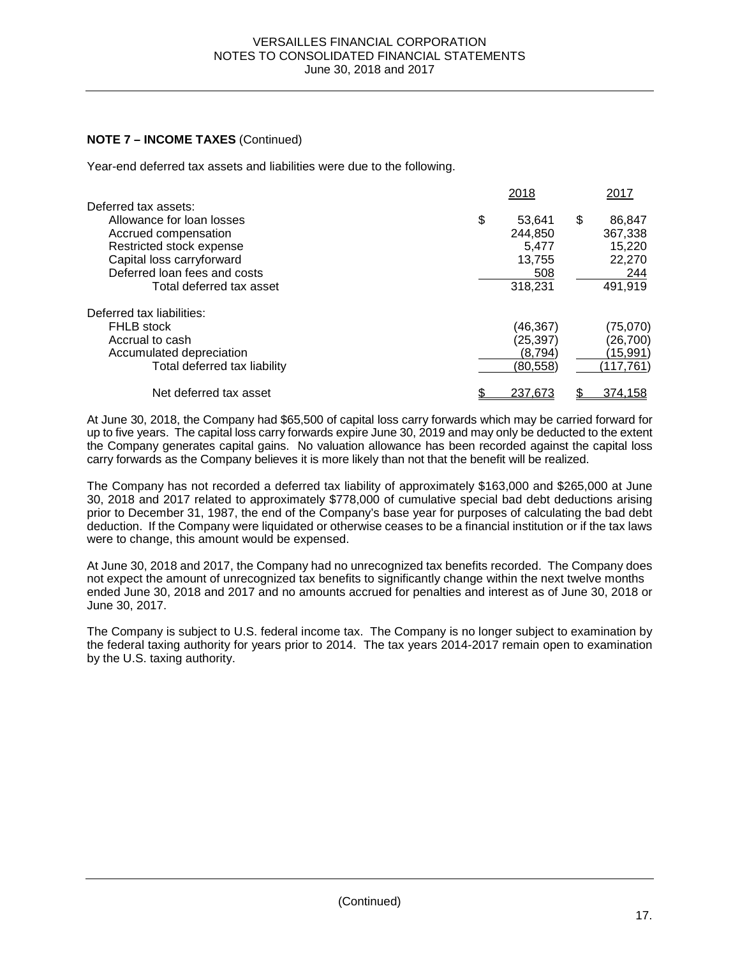# **NOTE 7 – INCOME TAXES** (Continued)

Year-end deferred tax assets and liabilities were due to the following.

| 2018     |                                        | 2017       |
|----------|----------------------------------------|------------|
|          |                                        |            |
| 53,641   | \$                                     | 86,847     |
| 244.850  |                                        | 367,338    |
| 5.477    |                                        | 15,220     |
| 13.755   |                                        | 22,270     |
|          |                                        | 244        |
| 318,231  |                                        | 491,919    |
|          |                                        |            |
|          |                                        | (75,070)   |
|          |                                        | (26, 700)  |
| (8.794)  |                                        | (15,991)   |
| (80,558) |                                        | (117, 761) |
|          |                                        | 374,158    |
| \$       | 508<br>(46,367)<br>(25,397)<br>237,673 |            |

At June 30, 2018, the Company had \$65,500 of capital loss carry forwards which may be carried forward for up to five years. The capital loss carry forwards expire June 30, 2019 and may only be deducted to the extent the Company generates capital gains. No valuation allowance has been recorded against the capital loss carry forwards as the Company believes it is more likely than not that the benefit will be realized.

The Company has not recorded a deferred tax liability of approximately \$163,000 and \$265,000 at June 30, 2018 and 2017 related to approximately \$778,000 of cumulative special bad debt deductions arising prior to December 31, 1987, the end of the Company's base year for purposes of calculating the bad debt deduction. If the Company were liquidated or otherwise ceases to be a financial institution or if the tax laws were to change, this amount would be expensed.

At June 30, 2018 and 2017, the Company had no unrecognized tax benefits recorded. The Company does not expect the amount of unrecognized tax benefits to significantly change within the next twelve months ended June 30, 2018 and 2017 and no amounts accrued for penalties and interest as of June 30, 2018 or June 30, 2017.

The Company is subject to U.S. federal income tax. The Company is no longer subject to examination by the federal taxing authority for years prior to 2014. The tax years 2014-2017 remain open to examination by the U.S. taxing authority.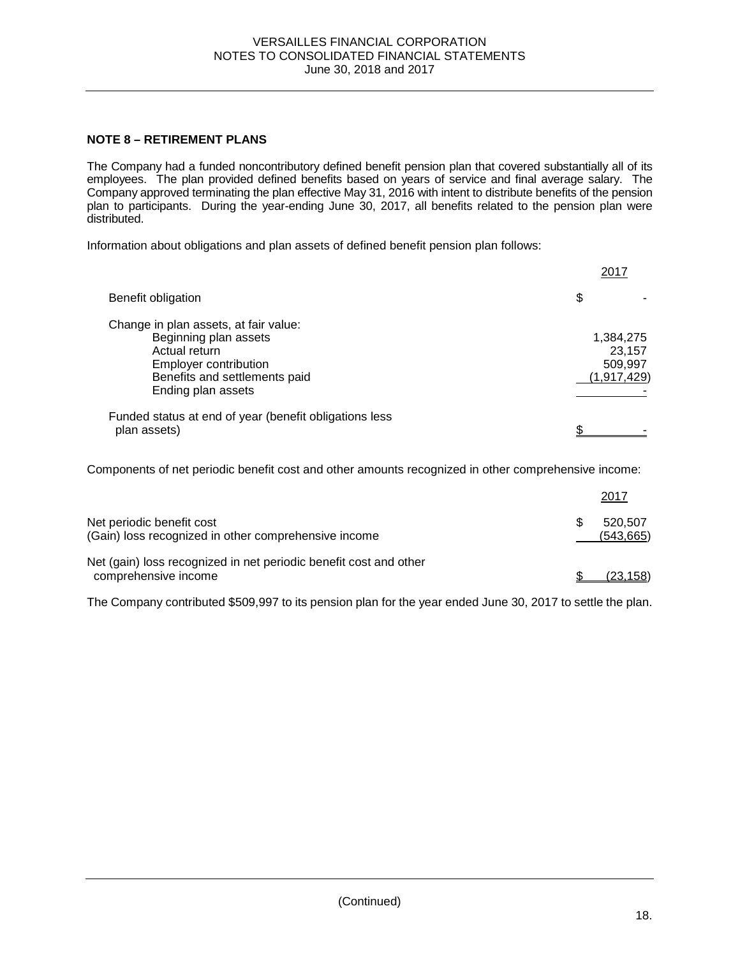# **NOTE 8 – RETIREMENT PLANS**

The Company had a funded noncontributory defined benefit pension plan that covered substantially all of its employees. The plan provided defined benefits based on years of service and final average salary. The Company approved terminating the plan effective May 31, 2016 with intent to distribute benefits of the pension plan to participants. During the year-ending June 30, 2017, all benefits related to the pension plan were distributed.

Information about obligations and plan assets of defined benefit pension plan follows:

|                                                                                                                                                                 | 2017                                            |
|-----------------------------------------------------------------------------------------------------------------------------------------------------------------|-------------------------------------------------|
| Benefit obligation                                                                                                                                              | \$                                              |
| Change in plan assets, at fair value:<br>Beginning plan assets<br>Actual return<br>Employer contribution<br>Benefits and settlements paid<br>Ending plan assets | 1,384,275<br>23.157<br>509,997<br>(1, 917, 429) |
| Funded status at end of year (benefit obligations less<br>plan assets)                                                                                          |                                                 |

Components of net periodic benefit cost and other amounts recognized in other comprehensive income:

|                                                                                           | 2017                  |
|-------------------------------------------------------------------------------------------|-----------------------|
| Net periodic benefit cost<br>(Gain) loss recognized in other comprehensive income         | 520.507<br>(543, 665) |
| Net (gain) loss recognized in net periodic benefit cost and other<br>comprehensive income | (23, 158)             |

The Company contributed \$509,997 to its pension plan for the year ended June 30, 2017 to settle the plan.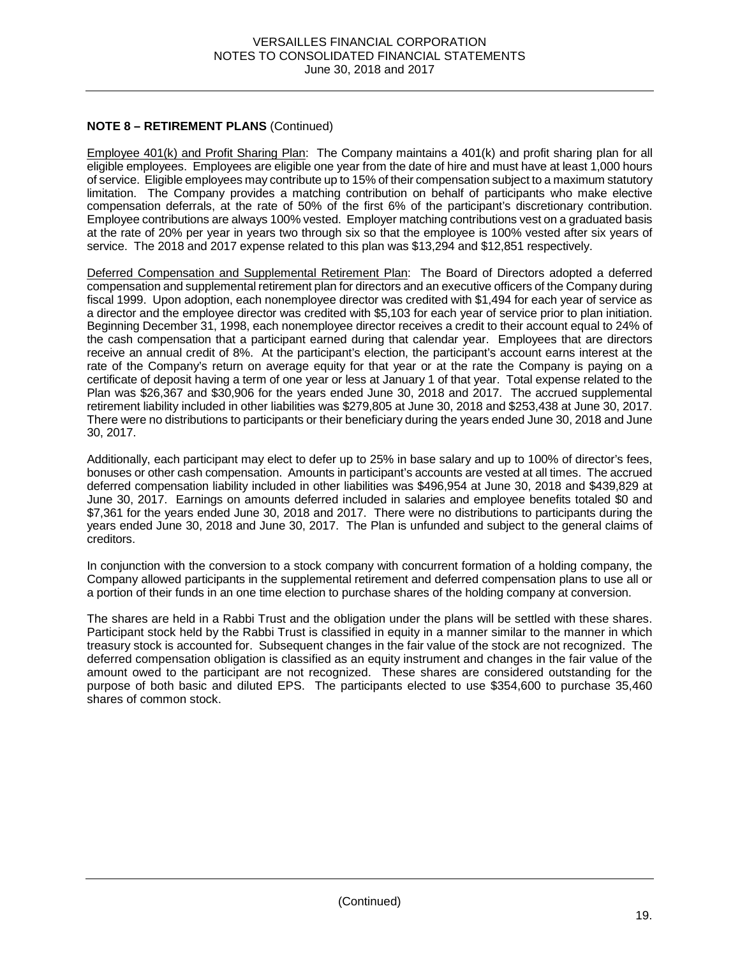# **NOTE 8 – RETIREMENT PLANS** (Continued)

Employee 401(k) and Profit Sharing Plan: The Company maintains a 401(k) and profit sharing plan for all eligible employees. Employees are eligible one year from the date of hire and must have at least 1,000 hours of service. Eligible employees may contribute up to 15% of their compensation subject to a maximum statutory limitation. The Company provides a matching contribution on behalf of participants who make elective compensation deferrals, at the rate of 50% of the first 6% of the participant's discretionary contribution. Employee contributions are always 100% vested. Employer matching contributions vest on a graduated basis at the rate of 20% per year in years two through six so that the employee is 100% vested after six years of service. The 2018 and 2017 expense related to this plan was \$13,294 and \$12,851 respectively.

Deferred Compensation and Supplemental Retirement Plan: The Board of Directors adopted a deferred compensation and supplemental retirement plan for directors and an executive officers of the Company during fiscal 1999. Upon adoption, each nonemployee director was credited with \$1,494 for each year of service as a director and the employee director was credited with \$5,103 for each year of service prior to plan initiation. Beginning December 31, 1998, each nonemployee director receives a credit to their account equal to 24% of the cash compensation that a participant earned during that calendar year. Employees that are directors receive an annual credit of 8%. At the participant's election, the participant's account earns interest at the rate of the Company's return on average equity for that year or at the rate the Company is paying on a certificate of deposit having a term of one year or less at January 1 of that year. Total expense related to the Plan was \$26,367 and \$30,906 for the years ended June 30, 2018 and 2017. The accrued supplemental retirement liability included in other liabilities was \$279,805 at June 30, 2018 and \$253,438 at June 30, 2017. There were no distributions to participants or their beneficiary during the years ended June 30, 2018 and June 30, 2017.

Additionally, each participant may elect to defer up to 25% in base salary and up to 100% of director's fees, bonuses or other cash compensation. Amounts in participant's accounts are vested at all times. The accrued deferred compensation liability included in other liabilities was \$496,954 at June 30, 2018 and \$439,829 at June 30, 2017. Earnings on amounts deferred included in salaries and employee benefits totaled \$0 and \$7,361 for the years ended June 30, 2018 and 2017. There were no distributions to participants during the years ended June 30, 2018 and June 30, 2017. The Plan is unfunded and subject to the general claims of creditors.

In conjunction with the conversion to a stock company with concurrent formation of a holding company, the Company allowed participants in the supplemental retirement and deferred compensation plans to use all or a portion of their funds in an one time election to purchase shares of the holding company at conversion.

The shares are held in a Rabbi Trust and the obligation under the plans will be settled with these shares. Participant stock held by the Rabbi Trust is classified in equity in a manner similar to the manner in which treasury stock is accounted for. Subsequent changes in the fair value of the stock are not recognized. The deferred compensation obligation is classified as an equity instrument and changes in the fair value of the amount owed to the participant are not recognized. These shares are considered outstanding for the purpose of both basic and diluted EPS. The participants elected to use \$354,600 to purchase 35,460 shares of common stock.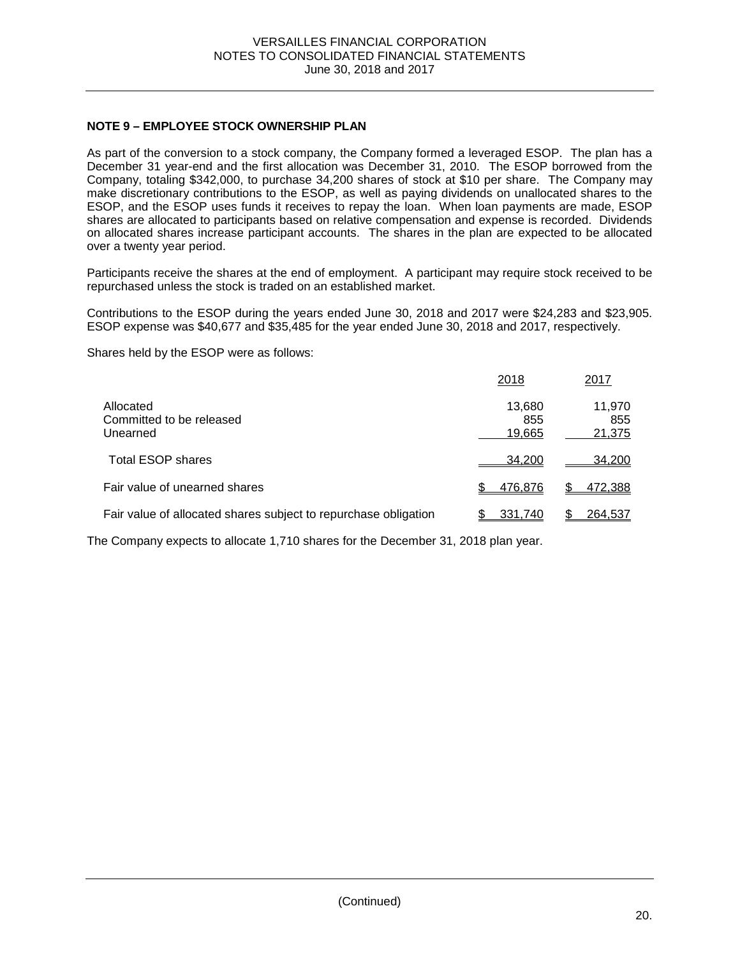# **NOTE 9 – EMPLOYEE STOCK OWNERSHIP PLAN**

As part of the conversion to a stock company, the Company formed a leveraged ESOP. The plan has a December 31 year-end and the first allocation was December 31, 2010. The ESOP borrowed from the Company, totaling \$342,000, to purchase 34,200 shares of stock at \$10 per share. The Company may make discretionary contributions to the ESOP, as well as paying dividends on unallocated shares to the ESOP, and the ESOP uses funds it receives to repay the loan. When loan payments are made, ESOP shares are allocated to participants based on relative compensation and expense is recorded. Dividends on allocated shares increase participant accounts. The shares in the plan are expected to be allocated over a twenty year period.

Participants receive the shares at the end of employment. A participant may require stock received to be repurchased unless the stock is traded on an established market.

Contributions to the ESOP during the years ended June 30, 2018 and 2017 were \$24,283 and \$23,905. ESOP expense was \$40,677 and \$35,485 for the year ended June 30, 2018 and 2017, respectively.

Shares held by the ESOP were as follows:

|                                                                 | 2018                    | 2017                    |
|-----------------------------------------------------------------|-------------------------|-------------------------|
| Allocated<br>Committed to be released<br>Unearned               | 13,680<br>855<br>19,665 | 11,970<br>855<br>21,375 |
| Total ESOP shares                                               | 34.200                  | 34,200                  |
| Fair value of unearned shares                                   | 476.876                 | 472,388                 |
| Fair value of allocated shares subject to repurchase obligation | 331.740                 | 264,537                 |

The Company expects to allocate 1,710 shares for the December 31, 2018 plan year.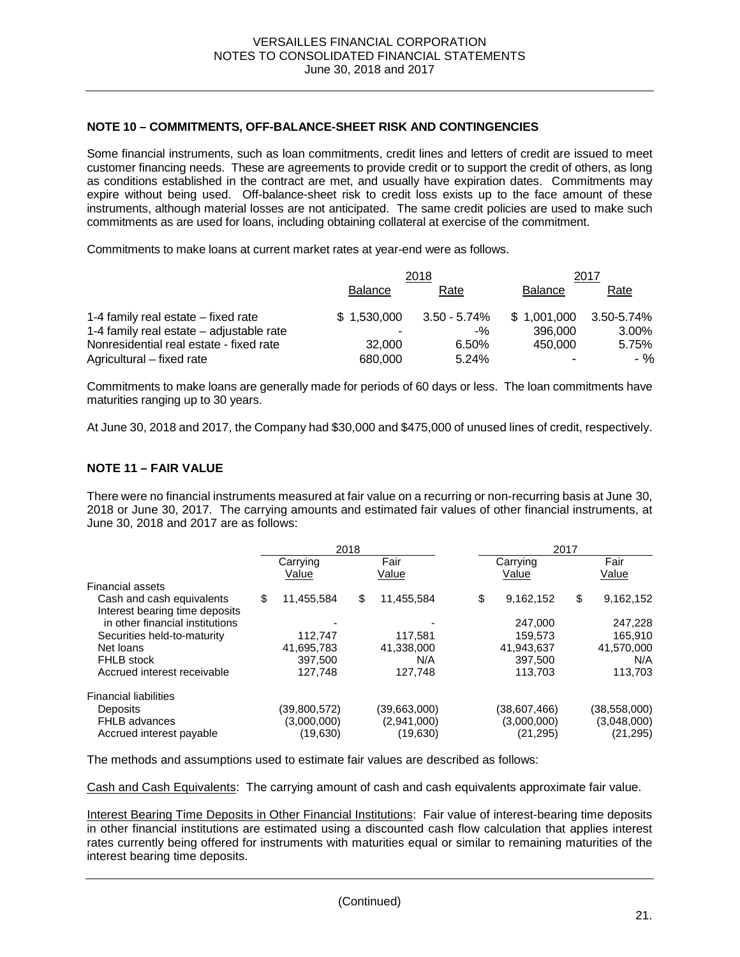### **NOTE 10 – COMMITMENTS, OFF-BALANCE-SHEET RISK AND CONTINGENCIES**

Some financial instruments, such as loan commitments, credit lines and letters of credit are issued to meet customer financing needs. These are agreements to provide credit or to support the credit of others, as long as conditions established in the contract are met, and usually have expiration dates. Commitments may expire without being used. Off-balance-sheet risk to credit loss exists up to the face amount of these instruments, although material losses are not anticipated. The same credit policies are used to make such commitments as are used for loans, including obtaining collateral at exercise of the commitment.

Commitments to make loans at current market rates at year-end were as follows.

|                                          | 2018           |              |                | 2017       |
|------------------------------------------|----------------|--------------|----------------|------------|
|                                          | <b>Balance</b> | Rate         | <b>Balance</b> | Rate       |
| 1-4 family real estate – fixed rate      | \$1.530.000    | 3.50 - 5.74% | \$1.001.000    | 3.50-5.74% |
| 1-4 family real estate – adjustable rate |                | $-$ %        | 396,000        | 3.00%      |
| Nonresidential real estate - fixed rate  | 32,000         | 6.50%        | 450.000        | 5.75%      |
| Agricultural – fixed rate                | 680,000        | 5.24%        | -              | - %        |

Commitments to make loans are generally made for periods of 60 days or less. The loan commitments have maturities ranging up to 30 years.

At June 30, 2018 and 2017, the Company had \$30,000 and \$475,000 of unused lines of credit, respectively.

### **NOTE 11 – FAIR VALUE**

There were no financial instruments measured at fair value on a recurring or non-recurring basis at June 30, 2018 or June 30, 2017. The carrying amounts and estimated fair values of other financial instruments, at June 30, 2018 and 2017 are as follows:

|                                 |          | 2018         |      |              | 2017     |              |      |              |  |
|---------------------------------|----------|--------------|------|--------------|----------|--------------|------|--------------|--|
|                                 | Carrying |              | Fair |              | Carrying |              | Fair |              |  |
|                                 |          | Value        |      | Value        |          | Value        |      | Value        |  |
| <b>Financial assets</b>         |          |              |      |              |          |              |      |              |  |
| Cash and cash equivalents       | \$       | 11,455,584   | \$   | 11,455,584   | \$       | 9,162,152    | \$   | 9,162,152    |  |
| Interest bearing time deposits  |          |              |      |              |          |              |      |              |  |
| in other financial institutions |          |              |      |              |          | 247,000      |      | 247,228      |  |
| Securities held-to-maturity     |          | 112.747      |      | 117,581      |          | 159,573      |      | 165,910      |  |
| Net loans                       |          | 41,695,783   |      | 41,338,000   |          | 41,943,637   |      | 41,570,000   |  |
| <b>FHLB</b> stock               |          | 397.500      |      | N/A          |          | 397.500      |      | N/A          |  |
| Accrued interest receivable     |          | 127.748      |      | 127.748      |          | 113.703      |      | 113,703      |  |
|                                 |          |              |      |              |          |              |      |              |  |
| <b>Financial liabilities</b>    |          |              |      |              |          |              |      |              |  |
| <b>Deposits</b>                 |          | (39,800,572) |      | (39,663,000) |          | (38,607,466) |      | (38,558,000) |  |
| <b>FHLB</b> advances            |          | (3,000,000)  |      | (2,941,000)  |          | (3,000,000)  |      | (3,048,000)  |  |
| Accrued interest payable        |          | (19,630)     |      | (19,630)     |          | (21, 295)    |      | (21, 295)    |  |
|                                 |          |              |      |              |          |              |      |              |  |

The methods and assumptions used to estimate fair values are described as follows:

Cash and Cash Equivalents: The carrying amount of cash and cash equivalents approximate fair value.

Interest Bearing Time Deposits in Other Financial Institutions: Fair value of interest-bearing time deposits in other financial institutions are estimated using a discounted cash flow calculation that applies interest rates currently being offered for instruments with maturities equal or similar to remaining maturities of the interest bearing time deposits.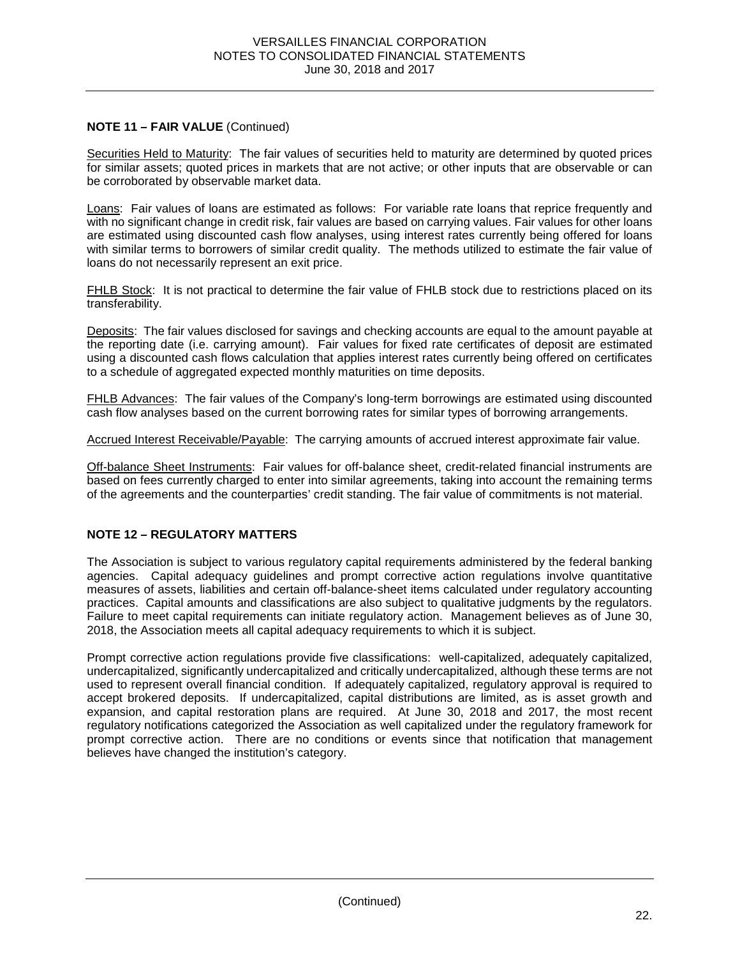# **NOTE 11 – FAIR VALUE** (Continued)

Securities Held to Maturity: The fair values of securities held to maturity are determined by quoted prices for similar assets; quoted prices in markets that are not active; or other inputs that are observable or can be corroborated by observable market data.

Loans: Fair values of loans are estimated as follows: For variable rate loans that reprice frequently and with no significant change in credit risk, fair values are based on carrying values. Fair values for other loans are estimated using discounted cash flow analyses, using interest rates currently being offered for loans with similar terms to borrowers of similar credit quality. The methods utilized to estimate the fair value of loans do not necessarily represent an exit price.

FHLB Stock: It is not practical to determine the fair value of FHLB stock due to restrictions placed on its transferability.

Deposits: The fair values disclosed for savings and checking accounts are equal to the amount payable at the reporting date (i.e. carrying amount). Fair values for fixed rate certificates of deposit are estimated using a discounted cash flows calculation that applies interest rates currently being offered on certificates to a schedule of aggregated expected monthly maturities on time deposits.

FHLB Advances: The fair values of the Company's long-term borrowings are estimated using discounted cash flow analyses based on the current borrowing rates for similar types of borrowing arrangements.

Accrued Interest Receivable/Payable: The carrying amounts of accrued interest approximate fair value.

Off-balance Sheet Instruments: Fair values for off-balance sheet, credit-related financial instruments are based on fees currently charged to enter into similar agreements, taking into account the remaining terms of the agreements and the counterparties' credit standing. The fair value of commitments is not material.

# **NOTE 12 – REGULATORY MATTERS**

The Association is subject to various regulatory capital requirements administered by the federal banking agencies. Capital adequacy guidelines and prompt corrective action regulations involve quantitative measures of assets, liabilities and certain off-balance-sheet items calculated under regulatory accounting practices. Capital amounts and classifications are also subject to qualitative judgments by the regulators. Failure to meet capital requirements can initiate regulatory action. Management believes as of June 30, 2018, the Association meets all capital adequacy requirements to which it is subject.

Prompt corrective action regulations provide five classifications: well-capitalized, adequately capitalized, undercapitalized, significantly undercapitalized and critically undercapitalized, although these terms are not used to represent overall financial condition. If adequately capitalized, regulatory approval is required to accept brokered deposits. If undercapitalized, capital distributions are limited, as is asset growth and expansion, and capital restoration plans are required. At June 30, 2018 and 2017, the most recent regulatory notifications categorized the Association as well capitalized under the regulatory framework for prompt corrective action. There are no conditions or events since that notification that management believes have changed the institution's category.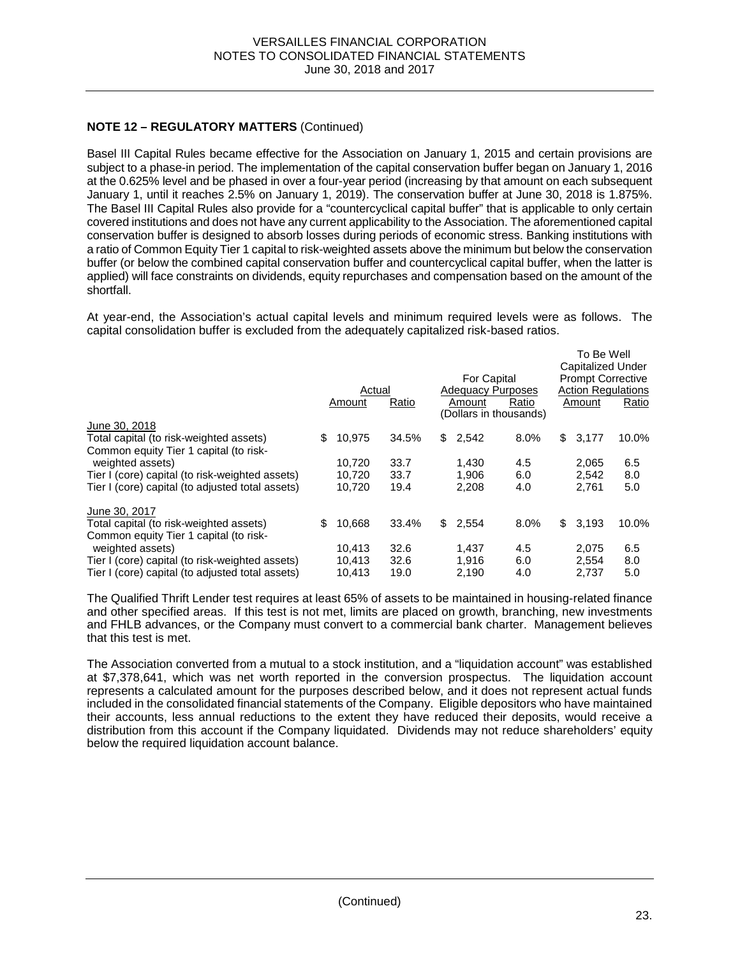# **NOTE 12 – REGULATORY MATTERS** (Continued)

Basel III Capital Rules became effective for the Association on January 1, 2015 and certain provisions are subject to a phase-in period. The implementation of the capital conservation buffer began on January 1, 2016 at the 0.625% level and be phased in over a four-year period (increasing by that amount on each subsequent January 1, until it reaches 2.5% on January 1, 2019). The conservation buffer at June 30, 2018 is 1.875%. The Basel III Capital Rules also provide for a "countercyclical capital buffer" that is applicable to only certain covered institutions and does not have any current applicability to the Association. The aforementioned capital conservation buffer is designed to absorb losses during periods of economic stress. Banking institutions with a ratio of Common Equity Tier 1 capital to risk-weighted assets above the minimum but below the conservation buffer (or below the combined capital conservation buffer and countercyclical capital buffer, when the latter is applied) will face constraints on dividends, equity repurchases and compensation based on the amount of the shortfall.

At year-end, the Association's actual capital levels and minimum required levels were as follows. The capital consolidation buffer is excluded from the adequately capitalized risk-based ratios.

|                                                                                   | Actual<br>Ratio<br>Amount |        |       |    | For Capital<br><b>Adequacy Purposes</b><br>Ratio<br>Amount<br>(Dollars in thousands) |      |     | To Be Well<br><b>Capitalized Under</b><br><b>Prompt Corrective</b><br><b>Action Regulations</b><br>Ratio<br>Amount |       |  |
|-----------------------------------------------------------------------------------|---------------------------|--------|-------|----|--------------------------------------------------------------------------------------|------|-----|--------------------------------------------------------------------------------------------------------------------|-------|--|
| June 30, 2018                                                                     |                           |        |       |    |                                                                                      |      |     |                                                                                                                    |       |  |
| Total capital (to risk-weighted assets)<br>Common equity Tier 1 capital (to risk- | \$                        | 10,975 | 34.5% | \$ | 2,542                                                                                | 8.0% | \$. | 3,177                                                                                                              | 10.0% |  |
| weighted assets)                                                                  |                           | 10.720 | 33.7  |    | 1.430                                                                                | 4.5  |     | 2.065                                                                                                              | 6.5   |  |
| Tier I (core) capital (to risk-weighted assets)                                   |                           | 10.720 | 33.7  |    | 1.906                                                                                | 6.0  |     | 2.542                                                                                                              | 8.0   |  |
| Tier I (core) capital (to adjusted total assets)                                  |                           | 10.720 | 19.4  |    | 2.208                                                                                | 4.0  |     | 2.761                                                                                                              | 5.0   |  |
| June 30, 2017                                                                     |                           |        |       |    |                                                                                      |      |     |                                                                                                                    |       |  |
| Total capital (to risk-weighted assets)                                           | \$                        | 10,668 | 33.4% | \$ | 2,554                                                                                | 8.0% | \$  | 3,193                                                                                                              | 10.0% |  |
| Common equity Tier 1 capital (to risk-                                            |                           |        |       |    |                                                                                      |      |     |                                                                                                                    |       |  |
| weighted assets)                                                                  |                           | 10.413 | 32.6  |    | 1.437                                                                                | 4.5  |     | 2,075                                                                                                              | 6.5   |  |
| Tier I (core) capital (to risk-weighted assets)                                   |                           | 10.413 | 32.6  |    | 1.916                                                                                | 6.0  |     | 2,554                                                                                                              | 8.0   |  |
| Tier I (core) capital (to adjusted total assets)                                  |                           | 10.413 | 19.0  |    | 2.190                                                                                | 4.0  |     | 2.737                                                                                                              | 5.0   |  |

The Qualified Thrift Lender test requires at least 65% of assets to be maintained in housing-related finance and other specified areas. If this test is not met, limits are placed on growth, branching, new investments and FHLB advances, or the Company must convert to a commercial bank charter. Management believes that this test is met.

The Association converted from a mutual to a stock institution, and a "liquidation account" was established at \$7,378,641, which was net worth reported in the conversion prospectus. The liquidation account represents a calculated amount for the purposes described below, and it does not represent actual funds included in the consolidated financial statements of the Company. Eligible depositors who have maintained their accounts, less annual reductions to the extent they have reduced their deposits, would receive a distribution from this account if the Company liquidated. Dividends may not reduce shareholders' equity below the required liquidation account balance.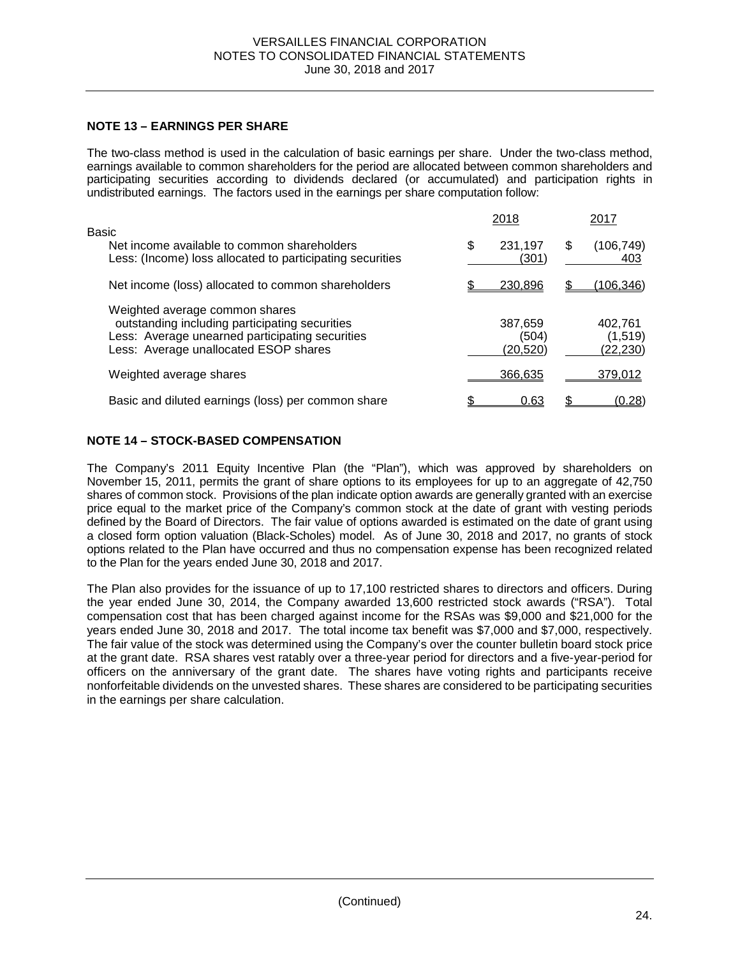# **NOTE 13 – EARNINGS PER SHARE**

The two-class method is used in the calculation of basic earnings per share. Under the two-class method, earnings available to common shareholders for the period are allocated between common shareholders and participating securities according to dividends declared (or accumulated) and participation rights in undistributed earnings. The factors used in the earnings per share computation follow:

|                                                                                                                                                                              | 2018                         |   | 2017                             |
|------------------------------------------------------------------------------------------------------------------------------------------------------------------------------|------------------------------|---|----------------------------------|
| Basic<br>Net income available to common shareholders<br>Less: (Income) loss allocated to participating securities                                                            | \$<br>231,197<br>(301)       | S | (106, 749)<br>403                |
| Net income (loss) allocated to common shareholders                                                                                                                           | 230.896                      |   | <u>(106,346)</u>                 |
| Weighted average common shares<br>outstanding including participating securities<br>Less: Average unearned participating securities<br>Less: Average unallocated ESOP shares | 387,659<br>(504)<br>(20,520) |   | 402.761<br>(1, 519)<br>(22, 230) |
| Weighted average shares                                                                                                                                                      | 366.635                      |   | 379,012                          |
| Basic and diluted earnings (loss) per common share                                                                                                                           | 0.63                         |   | (0.28)                           |

# **NOTE 14 – STOCK-BASED COMPENSATION**

The Company's 2011 Equity Incentive Plan (the "Plan"), which was approved by shareholders on November 15, 2011, permits the grant of share options to its employees for up to an aggregate of 42,750 shares of common stock. Provisions of the plan indicate option awards are generally granted with an exercise price equal to the market price of the Company's common stock at the date of grant with vesting periods defined by the Board of Directors. The fair value of options awarded is estimated on the date of grant using a closed form option valuation (Black-Scholes) model. As of June 30, 2018 and 2017, no grants of stock options related to the Plan have occurred and thus no compensation expense has been recognized related to the Plan for the years ended June 30, 2018 and 2017.

The Plan also provides for the issuance of up to 17,100 restricted shares to directors and officers. During the year ended June 30, 2014, the Company awarded 13,600 restricted stock awards ("RSA"). Total compensation cost that has been charged against income for the RSAs was \$9,000 and \$21,000 for the years ended June 30, 2018 and 2017. The total income tax benefit was \$7,000 and \$7,000, respectively. The fair value of the stock was determined using the Company's over the counter bulletin board stock price at the grant date. RSA shares vest ratably over a three-year period for directors and a five-year-period for officers on the anniversary of the grant date. The shares have voting rights and participants receive nonforfeitable dividends on the unvested shares. These shares are considered to be participating securities in the earnings per share calculation.